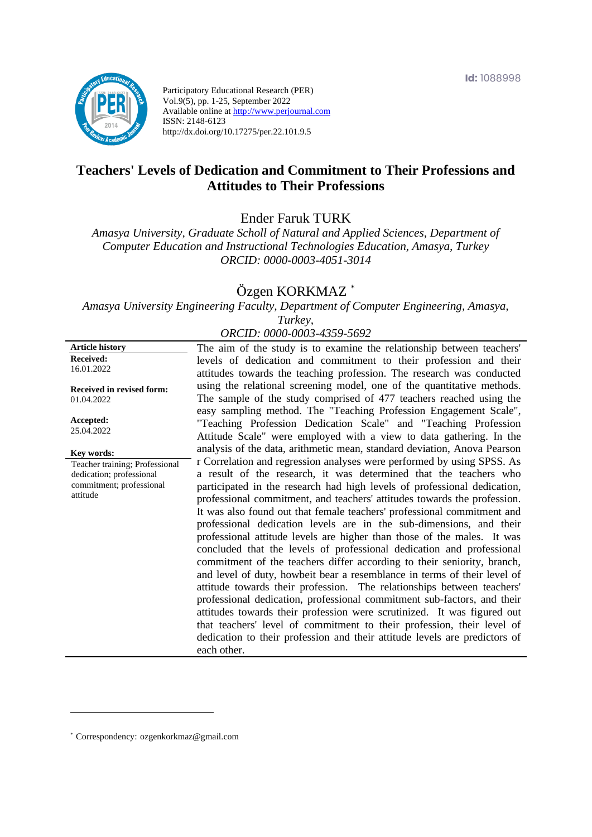

Participatory Educational Research (PER) Vol.9(5), pp. 1-25, September 2022 Available online at http://www.perjournal.com ISSN: 2148-6123 http://dx.doi.org/10.17275/per.22.101.9.5

# **Teachers' Levels of Dedication and Commitment to Their Professions and Attitudes to Their Professions**

Ender Faruk TURK

*Amasya University, Graduate Scholl of Natural and Applied Sciences, Department of Computer Education and Instructional Technologies Education, Amasya, Turkey ORCID: 0000-0003-4051-3014*

# Özgen KORKMAZ \*

*Amasya University Engineering Faculty, Department of Computer Engineering, Amasya, Turkey,* 

### *ORCID: 0000-0003-4359-5692*

| <b>Article history</b>                                                                             | The aim of the study is to examine the relationship between teachers'                                                                                                                                                                                                                                                                                                                                                                                                                                                                                                                                                                                                                                                                                                                                                                                                                                                                                                                                                                                                                                                                                                   |
|----------------------------------------------------------------------------------------------------|-------------------------------------------------------------------------------------------------------------------------------------------------------------------------------------------------------------------------------------------------------------------------------------------------------------------------------------------------------------------------------------------------------------------------------------------------------------------------------------------------------------------------------------------------------------------------------------------------------------------------------------------------------------------------------------------------------------------------------------------------------------------------------------------------------------------------------------------------------------------------------------------------------------------------------------------------------------------------------------------------------------------------------------------------------------------------------------------------------------------------------------------------------------------------|
| <b>Received:</b><br>16.01.2022                                                                     | levels of dedication and commitment to their profession and their<br>attitudes towards the teaching profession. The research was conducted                                                                                                                                                                                                                                                                                                                                                                                                                                                                                                                                                                                                                                                                                                                                                                                                                                                                                                                                                                                                                              |
| <b>Received in revised form:</b><br>01.04.2022                                                     | using the relational screening model, one of the quantitative methods.<br>The sample of the study comprised of 477 teachers reached using the<br>easy sampling method. The "Teaching Profession Engagement Scale",                                                                                                                                                                                                                                                                                                                                                                                                                                                                                                                                                                                                                                                                                                                                                                                                                                                                                                                                                      |
| Accepted:<br>25.04.2022                                                                            | "Teaching Profession Dedication Scale" and "Teaching Profession<br>Attitude Scale" were employed with a view to data gathering. In the                                                                                                                                                                                                                                                                                                                                                                                                                                                                                                                                                                                                                                                                                                                                                                                                                                                                                                                                                                                                                                  |
| Key words:                                                                                         | analysis of the data, arithmetic mean, standard deviation, Anova Pearson                                                                                                                                                                                                                                                                                                                                                                                                                                                                                                                                                                                                                                                                                                                                                                                                                                                                                                                                                                                                                                                                                                |
| Teacher training; Professional<br>dedication; professional<br>commitment; professional<br>attitude | r Correlation and regression analyses were performed by using SPSS. As<br>a result of the research, it was determined that the teachers who<br>participated in the research had high levels of professional dedication,<br>professional commitment, and teachers' attitudes towards the profession.<br>It was also found out that female teachers' professional commitment and<br>professional dedication levels are in the sub-dimensions, and their<br>professional attitude levels are higher than those of the males. It was<br>concluded that the levels of professional dedication and professional<br>commitment of the teachers differ according to their seniority, branch,<br>and level of duty, howbeit bear a resemblance in terms of their level of<br>attitude towards their profession. The relationships between teachers'<br>professional dedication, professional commitment sub-factors, and their<br>attitudes towards their profession were scrutinized. It was figured out<br>that teachers' level of commitment to their profession, their level of<br>dedication to their profession and their attitude levels are predictors of<br>each other. |

<sup>\*</sup> [Correspondency:](mailto:Correspondency:) ozgenkorkmaz@gmail.com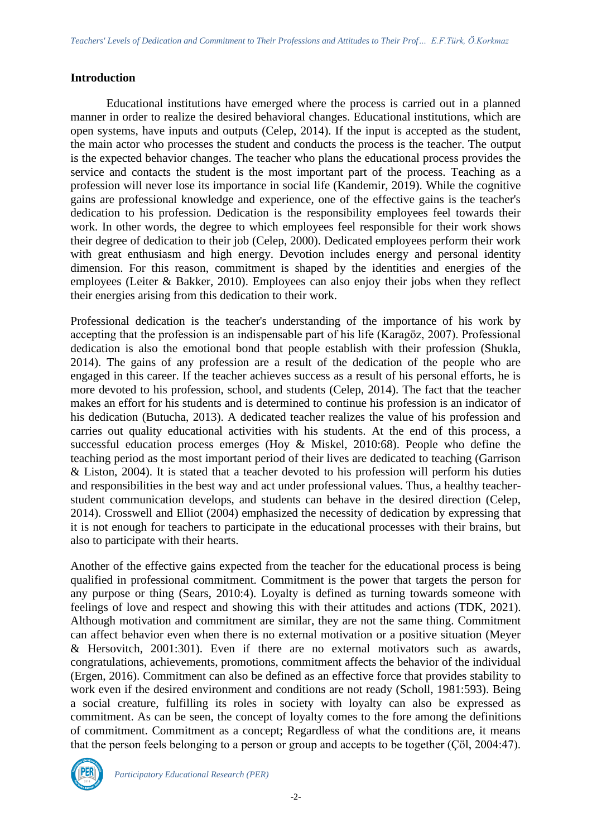## **Introduction**

Educational institutions have emerged where the process is carried out in a planned manner in order to realize the desired behavioral changes. Educational institutions, which are open systems, have inputs and outputs (Celep, 2014). If the input is accepted as the student, the main actor who processes the student and conducts the process is the teacher. The output is the expected behavior changes. The teacher who plans the educational process provides the service and contacts the student is the most important part of the process. Teaching as a profession will never lose its importance in social life (Kandemir, 2019). While the cognitive gains are professional knowledge and experience, one of the effective gains is the teacher's dedication to his profession. Dedication is the responsibility employees feel towards their work. In other words, the degree to which employees feel responsible for their work shows their degree of dedication to their job (Celep, 2000). Dedicated employees perform their work with great enthusiasm and high energy. Devotion includes energy and personal identity dimension. For this reason, commitment is shaped by the identities and energies of the employees (Leiter & Bakker, 2010). Employees can also enjoy their jobs when they reflect their energies arising from this dedication to their work.

Professional dedication is the teacher's understanding of the importance of his work by accepting that the profession is an indispensable part of his life (Karagöz, 2007). Professional dedication is also the emotional bond that people establish with their profession (Shukla, 2014). The gains of any profession are a result of the dedication of the people who are engaged in this career. If the teacher achieves success as a result of his personal efforts, he is more devoted to his profession, school, and students (Celep, 2014). The fact that the teacher makes an effort for his students and is determined to continue his profession is an indicator of his dedication (Butucha, 2013). A dedicated teacher realizes the value of his profession and carries out quality educational activities with his students. At the end of this process, a successful education process emerges (Hoy & Miskel, 2010:68). People who define the teaching period as the most important period of their lives are dedicated to teaching (Garrison & Liston, 2004). It is stated that a teacher devoted to his profession will perform his duties and responsibilities in the best way and act under professional values. Thus, a healthy teacherstudent communication develops, and students can behave in the desired direction (Celep, 2014). Crosswell and Elliot (2004) emphasized the necessity of dedication by expressing that it is not enough for teachers to participate in the educational processes with their brains, but also to participate with their hearts.

Another of the effective gains expected from the teacher for the educational process is being qualified in professional commitment. Commitment is the power that targets the person for any purpose or thing (Sears, 2010:4). Loyalty is defined as turning towards someone with feelings of love and respect and showing this with their attitudes and actions (TDK, 2021). Although motivation and commitment are similar, they are not the same thing. Commitment can affect behavior even when there is no external motivation or a positive situation (Meyer & Hersovitch, 2001:301). Even if there are no external motivators such as awards, congratulations, achievements, promotions, commitment affects the behavior of the individual (Ergen, 2016). Commitment can also be defined as an effective force that provides stability to work even if the desired environment and conditions are not ready (Scholl, 1981:593). Being a social creature, fulfilling its roles in society with loyalty can also be expressed as commitment. As can be seen, the concept of loyalty comes to the fore among the definitions of commitment. Commitment as a concept; Regardless of what the conditions are, it means that the person feels belonging to a person or group and accepts to be together (Çöl, 2004:47).

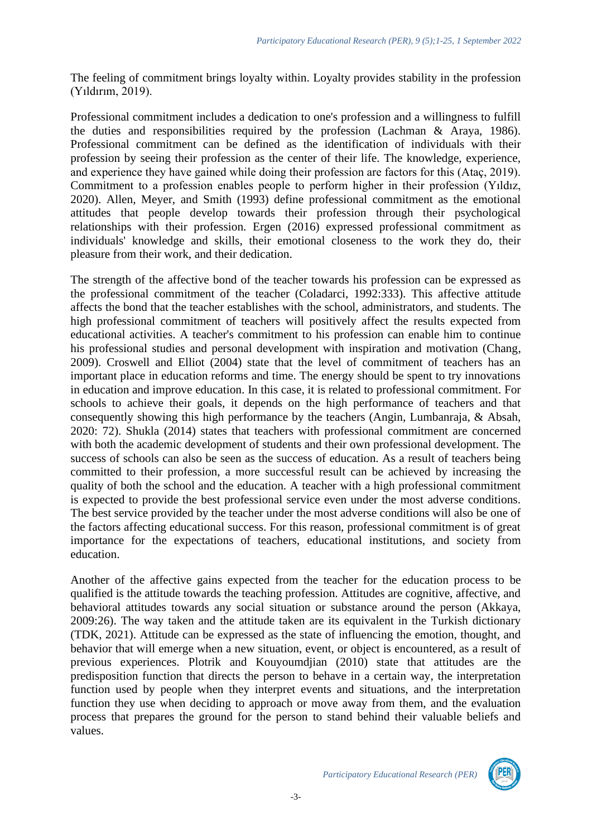The feeling of commitment brings loyalty within. Loyalty provides stability in the profession (Yıldırım, 2019).

Professional commitment includes a dedication to one's profession and a willingness to fulfill the duties and responsibilities required by the profession (Lachman & Araya, 1986). Professional commitment can be defined as the identification of individuals with their profession by seeing their profession as the center of their life. The knowledge, experience, and experience they have gained while doing their profession are factors for this (Ataç, 2019). Commitment to a profession enables people to perform higher in their profession (Yıldız, 2020). Allen, Meyer, and Smith (1993) define professional commitment as the emotional attitudes that people develop towards their profession through their psychological relationships with their profession. Ergen (2016) expressed professional commitment as individuals' knowledge and skills, their emotional closeness to the work they do, their pleasure from their work, and their dedication.

The strength of the affective bond of the teacher towards his profession can be expressed as the professional commitment of the teacher (Coladarci, 1992:333). This affective attitude affects the bond that the teacher establishes with the school, administrators, and students. The high professional commitment of teachers will positively affect the results expected from educational activities. A teacher's commitment to his profession can enable him to continue his professional studies and personal development with inspiration and motivation (Chang, 2009). Croswell and Elliot (2004) state that the level of commitment of teachers has an important place in education reforms and time. The energy should be spent to try innovations in education and improve education. In this case, it is related to professional commitment. For schools to achieve their goals, it depends on the high performance of teachers and that consequently showing this high performance by the teachers (Angin, Lumbanraja, & Absah, 2020: 72). Shukla (2014) states that teachers with professional commitment are concerned with both the academic development of students and their own professional development. The success of schools can also be seen as the success of education. As a result of teachers being committed to their profession, a more successful result can be achieved by increasing the quality of both the school and the education. A teacher with a high professional commitment is expected to provide the best professional service even under the most adverse conditions. The best service provided by the teacher under the most adverse conditions will also be one of the factors affecting educational success. For this reason, professional commitment is of great importance for the expectations of teachers, educational institutions, and society from education.

Another of the affective gains expected from the teacher for the education process to be qualified is the attitude towards the teaching profession. Attitudes are cognitive, affective, and behavioral attitudes towards any social situation or substance around the person (Akkaya, 2009:26). The way taken and the attitude taken are its equivalent in the Turkish dictionary (TDK, 2021). Attitude can be expressed as the state of influencing the emotion, thought, and behavior that will emerge when a new situation, event, or object is encountered, as a result of previous experiences. Plotrik and Kouyoumdjian (2010) state that attitudes are the predisposition function that directs the person to behave in a certain way, the interpretation function used by people when they interpret events and situations, and the interpretation function they use when deciding to approach or move away from them, and the evaluation process that prepares the ground for the person to stand behind their valuable beliefs and values.

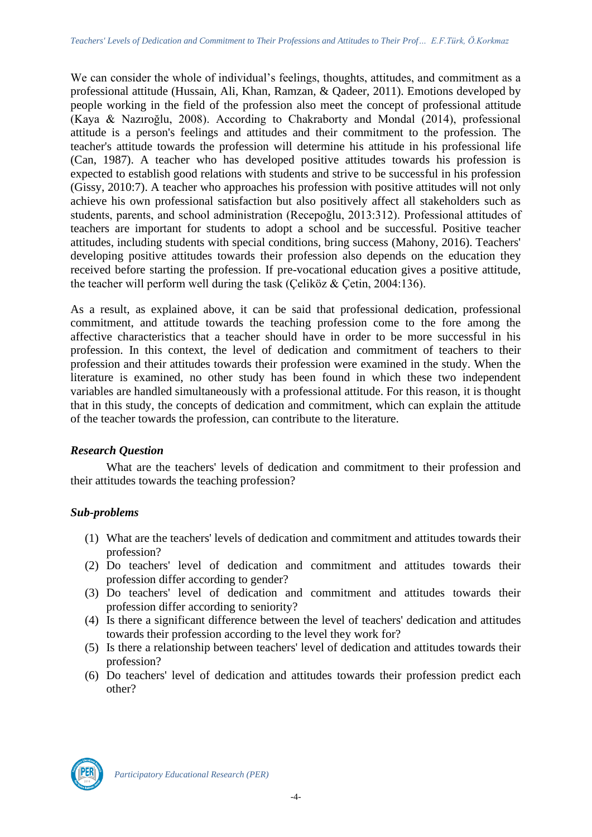We can consider the whole of individual's feelings, thoughts, attitudes, and commitment as a professional attitude (Hussain, Ali, Khan, Ramzan, & Qadeer, 2011). Emotions developed by people working in the field of the profession also meet the concept of professional attitude (Kaya & Nazıroğlu, 2008). According to Chakraborty and Mondal (2014), professional attitude is a person's feelings and attitudes and their commitment to the profession. The teacher's attitude towards the profession will determine his attitude in his professional life (Can, 1987). A teacher who has developed positive attitudes towards his profession is expected to establish good relations with students and strive to be successful in his profession (Gissy, 2010:7). A teacher who approaches his profession with positive attitudes will not only achieve his own professional satisfaction but also positively affect all stakeholders such as students, parents, and school administration (Recepoğlu, 2013:312). Professional attitudes of teachers are important for students to adopt a school and be successful. Positive teacher attitudes, including students with special conditions, bring success (Mahony, 2016). Teachers' developing positive attitudes towards their profession also depends on the education they received before starting the profession. If pre-vocational education gives a positive attitude, the teacher will perform well during the task (Çeliköz & Çetin, 2004:136).

As a result, as explained above, it can be said that professional dedication, professional commitment, and attitude towards the teaching profession come to the fore among the affective characteristics that a teacher should have in order to be more successful in his profession. In this context, the level of dedication and commitment of teachers to their profession and their attitudes towards their profession were examined in the study. When the literature is examined, no other study has been found in which these two independent variables are handled simultaneously with a professional attitude. For this reason, it is thought that in this study, the concepts of dedication and commitment, which can explain the attitude of the teacher towards the profession, can contribute to the literature.

## *Research Question*

What are the teachers' levels of dedication and commitment to their profession and their attitudes towards the teaching profession?

# *Sub-problems*

- (1) What are the teachers' levels of dedication and commitment and attitudes towards their profession?
- (2) Do teachers' level of dedication and commitment and attitudes towards their profession differ according to gender?
- (3) Do teachers' level of dedication and commitment and attitudes towards their profession differ according to seniority?
- (4) Is there a significant difference between the level of teachers' dedication and attitudes towards their profession according to the level they work for?
- (5) Is there a relationship between teachers' level of dedication and attitudes towards their profession?
- (6) Do teachers' level of dedication and attitudes towards their profession predict each other?

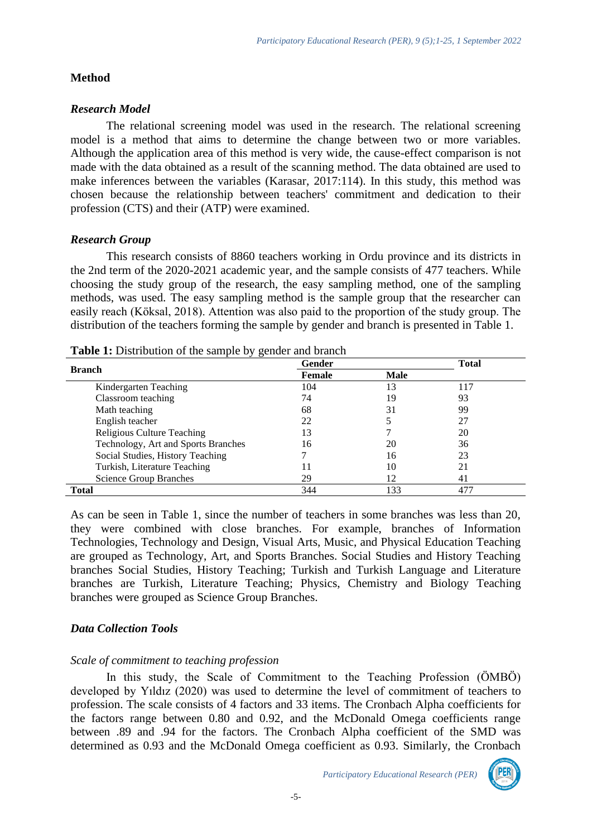### **Method**

#### *Research Model*

The relational screening model was used in the research. The relational screening model is a method that aims to determine the change between two or more variables. Although the application area of this method is very wide, the cause-effect comparison is not made with the data obtained as a result of the scanning method. The data obtained are used to make inferences between the variables (Karasar, 2017:114). In this study, this method was chosen because the relationship between teachers' commitment and dedication to their profession (CTS) and their (ATP) were examined.

## *Research Group*

This research consists of 8860 teachers working in Ordu province and its districts in the 2nd term of the 2020-2021 academic year, and the sample consists of 477 teachers. While choosing the study group of the research, the easy sampling method, one of the sampling methods, was used. The easy sampling method is the sample group that the researcher can easily reach (Köksal, 2018). Attention was also paid to the proportion of the study group. The distribution of the teachers forming the sample by gender and branch is presented in Table 1.

| <b>Branch</b>                       | Gender | <b>Total</b> |     |
|-------------------------------------|--------|--------------|-----|
|                                     | Female | <b>Male</b>  |     |
| Kindergarten Teaching               | 104    | 13           | 117 |
| Classroom teaching                  | 74     | 19           | 93  |
| Math teaching                       | 68     | 31           | 99  |
| English teacher                     | 22     |              | 27  |
| <b>Religious Culture Teaching</b>   | 13     |              | 20  |
| Technology, Art and Sports Branches | 16     | 20           | 36  |
| Social Studies, History Teaching    |        | 16           | 23  |
| Turkish, Literature Teaching        |        | 10           | 21  |
| <b>Science Group Branches</b>       | 29     | 12           | 41  |
| Total                               | 344    | 133          | 477 |

As can be seen in Table 1, since the number of teachers in some branches was less than 20, they were combined with close branches. For example, branches of Information Technologies, Technology and Design, Visual Arts, Music, and Physical Education Teaching are grouped as Technology, Art, and Sports Branches. Social Studies and History Teaching branches Social Studies, History Teaching; Turkish and Turkish Language and Literature branches are Turkish, Literature Teaching; Physics, Chemistry and Biology Teaching branches were grouped as Science Group Branches.

## *Data Collection Tools*

#### *Scale of commitment to teaching profession*

In this study, the Scale of Commitment to the Teaching Profession (ÖMBÖ) developed by Yıldız (2020) was used to determine the level of commitment of teachers to profession. The scale consists of 4 factors and 33 items. The Cronbach Alpha coefficients for the factors range between 0.80 and 0.92, and the McDonald Omega coefficients range between .89 and .94 for the factors. The Cronbach Alpha coefficient of the SMD was determined as 0.93 and the McDonald Omega coefficient as 0.93. Similarly, the Cronbach

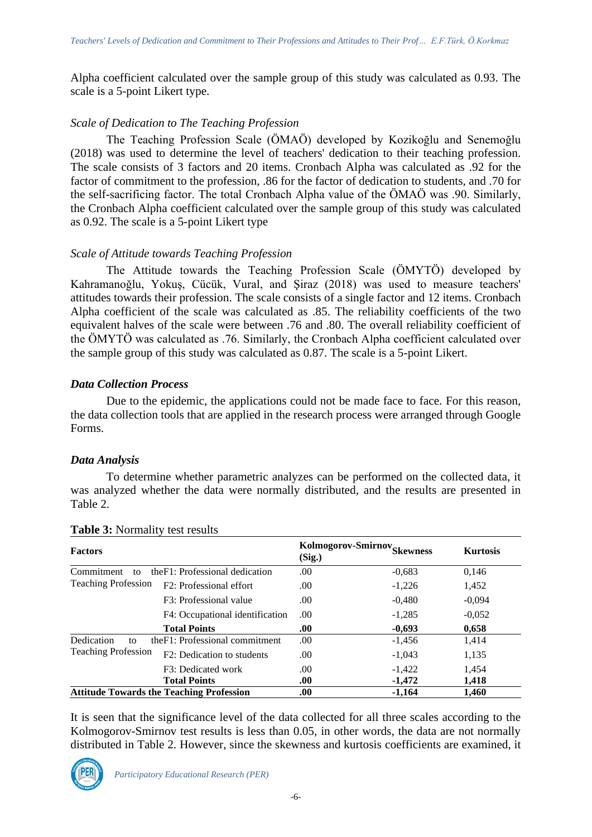Alpha coefficient calculated over the sample group of this study was calculated as 0.93. The scale is a 5-point Likert type.

# *Scale of Dedication to The Teaching Profession*

The Teaching Profession Scale (ÖMAÖ) developed by Kozikoğlu and Senemoğlu (2018) was used to determine the level of teachers' dedication to their teaching profession. The scale consists of 3 factors and 20 items. Cronbach Alpha was calculated as .92 for the factor of commitment to the profession, .86 for the factor of dedication to students, and .70 for the self-sacrificing factor. The total Cronbach Alpha value of the ÖMAÖ was .90. Similarly, the Cronbach Alpha coefficient calculated over the sample group of this study was calculated as 0.92. The scale is a 5-point Likert type

# *Scale of Attitude towards Teaching Profession*

The Attitude towards the Teaching Profession Scale (ÖMYTÖ) developed by Kahramanoğlu, Yokuş, Cücük, Vural, and Şiraz (2018) was used to measure teachers' attitudes towards their profession. The scale consists of a single factor and 12 items. Cronbach Alpha coefficient of the scale was calculated as .85. The reliability coefficients of the two equivalent halves of the scale were between .76 and .80. The overall reliability coefficient of the ÖMYTÖ was calculated as .76. Similarly, the Cronbach Alpha coefficient calculated over the sample group of this study was calculated as 0.87. The scale is a 5-point Likert.

## *Data Collection Process*

Due to the epidemic, the applications could not be made face to face. For this reason, the data collection tools that are applied in the research process were arranged through Google Forms.

## *Data Analysis*

To determine whether parametric analyzes can be performed on the collected data, it was analyzed whether the data were normally distributed, and the results are presented in Table 2.

| <b>Factors</b>                                                     |                                 | Kolmogorov-Smirnov <sub>Skewness</sub><br>(Sig.) |          | <b>Kurtosis</b> |
|--------------------------------------------------------------------|---------------------------------|--------------------------------------------------|----------|-----------------|
| Commitment<br>to                                                   | the F1: Professional dedication | .00                                              | $-0.683$ | 0,146           |
| <b>Teaching Profession</b><br>F <sub>2</sub> : Professional effort |                                 | .00                                              | $-1,226$ | 1,452           |
|                                                                    | F3: Professional value          | .00                                              | $-0,480$ | $-0.094$        |
|                                                                    | F4: Occupational identification | .00.                                             | $-1,285$ | $-0.052$        |
|                                                                    | <b>Total Points</b>             | .00.                                             | $-0,693$ | 0,658           |
| Dedication<br>to                                                   | the F1: Professional commitment | .00                                              | $-1,456$ | 1,414           |
| <b>Teaching Profession</b>                                         | F2: Dedication to students      | .00                                              | $-1,043$ | 1,135           |
|                                                                    | F3: Dedicated work              | .00                                              | $-1,422$ | 1,454           |
|                                                                    | <b>Total Points</b>             | .00.                                             | $-1,472$ | 1,418           |
| <b>Attitude Towards the Teaching Profession</b>                    |                                 | .00                                              | $-1,164$ | 1.460           |

## **Table 3:** Normality test results

It is seen that the significance level of the data collected for all three scales according to the Kolmogorov-Smirnov test results is less than 0.05, in other words, the data are not normally distributed in Table 2. However, since the skewness and kurtosis coefficients are examined, it

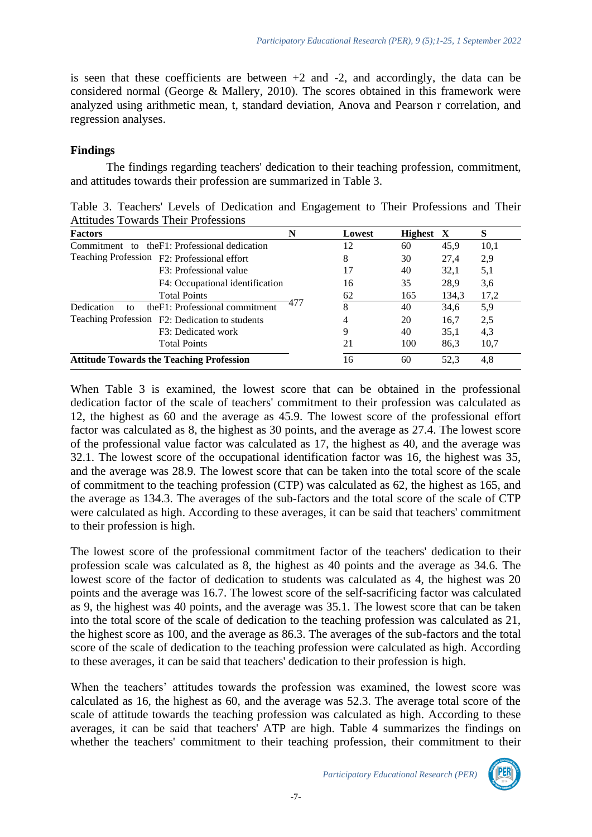is seen that these coefficients are between  $+2$  and  $-2$ , and accordingly, the data can be considered normal (George & Mallery, 2010). The scores obtained in this framework were analyzed using arithmetic mean, t, standard deviation, Anova and Pearson r correlation, and regression analyses.

### **Findings**

The findings regarding teachers' dedication to their teaching profession, commitment, and attitudes towards their profession are summarized in Table 3.

Table 3. Teachers' Levels of Dedication and Engagement to Their Professions and Their Attitudes Towards Their Professions

| <b>Factors</b>                                      | N    | Lowest | Highest X |       | S    |
|-----------------------------------------------------|------|--------|-----------|-------|------|
| the F1: Professional dedication<br>Commitment to    |      | 12     | 60        | 45,9  | 10,1 |
| Teaching Profession F2: Professional effort         |      | 8      | 30        | 27,4  | 2.9  |
| F3: Professional value                              |      | 17     | 40        | 32,1  | 5,1  |
| F4: Occupational identification                     |      | 16     | 35        | 28,9  | 3.6  |
| <b>Total Points</b>                                 |      | 62     | 165       | 134,3 | 17,2 |
| the F1: Professional commitment<br>Dedication<br>to | -477 | 8      | 40        | 34,6  | 5,9  |
| Teaching Profession F2: Dedication to students      |      | 4      | 20        | 16,7  | 2,5  |
| F3: Dedicated work                                  |      | 9      | 40        | 35,1  | 4,3  |
| <b>Total Points</b>                                 |      | 21     | 100       | 86,3  | 10,7 |
| <b>Attitude Towards the Teaching Profession</b>     |      | 16     | 60        | 52.3  | 4,8  |

When Table 3 is examined, the lowest score that can be obtained in the professional dedication factor of the scale of teachers' commitment to their profession was calculated as 12, the highest as 60 and the average as 45.9. The lowest score of the professional effort factor was calculated as 8, the highest as 30 points, and the average as 27.4. The lowest score of the professional value factor was calculated as 17, the highest as 40, and the average was 32.1. The lowest score of the occupational identification factor was 16, the highest was 35, and the average was 28.9. The lowest score that can be taken into the total score of the scale of commitment to the teaching profession (CTP) was calculated as 62, the highest as 165, and the average as 134.3. The averages of the sub-factors and the total score of the scale of CTP were calculated as high. According to these averages, it can be said that teachers' commitment to their profession is high.

The lowest score of the professional commitment factor of the teachers' dedication to their profession scale was calculated as 8, the highest as 40 points and the average as 34.6. The lowest score of the factor of dedication to students was calculated as 4, the highest was 20 points and the average was 16.7. The lowest score of the self-sacrificing factor was calculated as 9, the highest was 40 points, and the average was 35.1. The lowest score that can be taken into the total score of the scale of dedication to the teaching profession was calculated as 21, the highest score as 100, and the average as 86.3. The averages of the sub-factors and the total score of the scale of dedication to the teaching profession were calculated as high. According to these averages, it can be said that teachers' dedication to their profession is high.

When the teachers' attitudes towards the profession was examined, the lowest score was calculated as 16, the highest as 60, and the average was 52.3. The average total score of the scale of attitude towards the teaching profession was calculated as high. According to these averages, it can be said that teachers' ATP are high. Table 4 summarizes the findings on whether the teachers' commitment to their teaching profession, their commitment to their

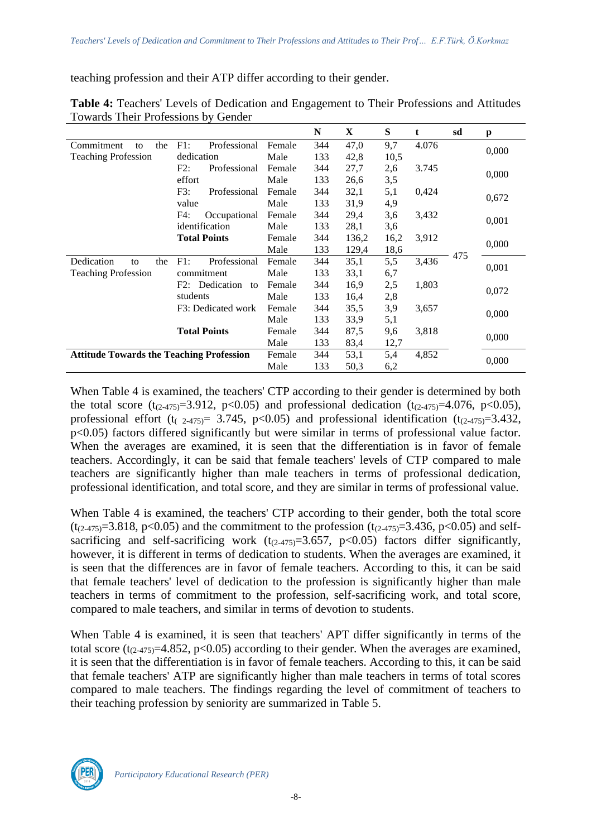teaching profession and their ATP differ according to their gender.

|                                                 |                     |        | N   | X     | S    | t     | sd  | p     |
|-------------------------------------------------|---------------------|--------|-----|-------|------|-------|-----|-------|
| Commitment<br>the<br>to                         | F1:<br>Professional | Female | 344 | 47,0  | 9,7  | 4.076 |     |       |
| <b>Teaching Profession</b>                      | dedication          | Male   | 133 | 42,8  | 10,5 |       |     | 0,000 |
|                                                 | F2:<br>Professional | Female | 344 | 27,7  | 2,6  | 3.745 |     |       |
|                                                 | effort              | Male   | 133 | 26,6  | 3,5  |       |     | 0,000 |
|                                                 | F3:<br>Professional | Female | 344 | 32,1  | 5,1  | 0,424 |     |       |
|                                                 | value               | Male   | 133 | 31,9  | 4,9  |       |     | 0,672 |
|                                                 | F4:<br>Occupational | Female | 344 | 29,4  | 3,6  | 3,432 |     |       |
|                                                 | identification      | Male   | 133 | 28,1  | 3,6  |       |     | 0,001 |
| <b>Total Points</b>                             |                     | Female | 344 | 136,2 | 16,2 | 3,912 |     | 0,000 |
|                                                 |                     | Male   | 133 | 129,4 | 18,6 |       |     |       |
| Dedication<br>the<br>to                         | F1:<br>Professional | Female | 344 | 35,1  | 5,5  | 3,436 | 475 | 0,001 |
| <b>Teaching Profession</b>                      | commitment          | Male   | 133 | 33,1  | 6,7  |       |     |       |
| Dedication<br>F2:<br>to                         |                     | Female | 344 | 16,9  | 2,5  | 1,803 |     | 0,072 |
|                                                 | students            | Male   | 133 | 16,4  | 2,8  |       |     |       |
|                                                 | F3: Dedicated work  | Female | 344 | 35,5  | 3,9  | 3,657 |     |       |
|                                                 |                     |        | 133 | 33,9  | 5,1  |       |     | 0,000 |
| <b>Total Points</b>                             |                     | Female | 344 | 87,5  | 9,6  | 3,818 |     |       |
|                                                 |                     | Male   | 133 | 83,4  | 12,7 |       |     | 0,000 |
| <b>Attitude Towards the Teaching Profession</b> |                     | Female | 344 | 53,1  | 5,4  | 4,852 |     | 0.000 |
|                                                 |                     | Male   | 133 | 50,3  | 6,2  |       |     |       |

**Table 4:** Teachers' Levels of Dedication and Engagement to Their Professions and Attitudes Towards Their Professions by Gender

When Table 4 is examined, the teachers' CTP according to their gender is determined by both the total score  $(t_{(2-475)}=3.912, p<0.05)$  and professional dedication  $(t_{(2-475)}=4.076, p<0.05)$ , professional effort (t<sub>(2-475)</sub> = 3.745, p<0.05) and professional identification (t<sub>(2-475)</sub> = 3.432, p<0.05) factors differed significantly but were similar in terms of professional value factor. When the averages are examined, it is seen that the differentiation is in favor of female teachers. Accordingly, it can be said that female teachers' levels of CTP compared to male teachers are significantly higher than male teachers in terms of professional dedication, professional identification, and total score, and they are similar in terms of professional value.

When Table 4 is examined, the teachers' CTP according to their gender, both the total score  $(t_{(2-475)}=3.818, p<0.05)$  and the commitment to the profession  $(t_{(2-475)}=3.436, p<0.05)$  and selfsacrificing and self-sacrificing work  $(t_{(2-475)}=3.657, p<0.05)$  factors differ significantly, however, it is different in terms of dedication to students. When the averages are examined, it is seen that the differences are in favor of female teachers. According to this, it can be said that female teachers' level of dedication to the profession is significantly higher than male teachers in terms of commitment to the profession, self-sacrificing work, and total score, compared to male teachers, and similar in terms of devotion to students.

When Table 4 is examined, it is seen that teachers' APT differ significantly in terms of the total score ( $t_{(2-475)}$ =4.852, p<0.05) according to their gender. When the averages are examined, it is seen that the differentiation is in favor of female teachers. According to this, it can be said that female teachers' ATP are significantly higher than male teachers in terms of total scores compared to male teachers. The findings regarding the level of commitment of teachers to their teaching profession by seniority are summarized in Table 5.

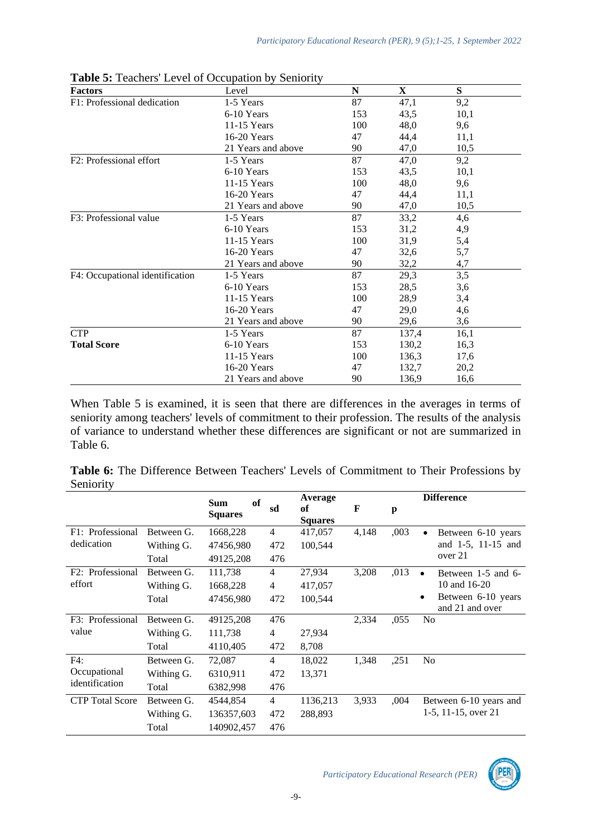| <b>Factors</b>                  | Level              | N   | $\mathbf X$ | S    |  |
|---------------------------------|--------------------|-----|-------------|------|--|
| F1: Professional dedication     | 1-5 Years          | 87  | 47,1        | 9,2  |  |
| <b>Total Score</b>              | 6-10 Years         | 153 | 43,5        | 10,1 |  |
|                                 | 11-15 Years        | 100 | 48,0        | 9,6  |  |
|                                 | 16-20 Years        | 47  | 44,4        | 11,1 |  |
|                                 | 21 Years and above | 90  | 47,0        | 10,5 |  |
| F2: Professional effort         | 1-5 Years          | 87  | 47,0        | 9,2  |  |
|                                 | 6-10 Years         | 153 | 43,5        | 10,1 |  |
|                                 | 11-15 Years        | 100 | 48,0        | 9,6  |  |
|                                 | 16-20 Years        | 47  | 44,4        | 11,1 |  |
|                                 | 21 Years and above | 90  | 47,0        | 10,5 |  |
| F3: Professional value          | 1-5 Years          | 87  | 33,2        | 4,6  |  |
|                                 | 6-10 Years         | 153 | 31,2        | 4,9  |  |
|                                 | 11-15 Years        | 100 | 31,9        | 5,4  |  |
|                                 | 16-20 Years        | 47  | 32,6        | 5,7  |  |
|                                 | 21 Years and above | 90  | 32,2        | 4,7  |  |
| F4: Occupational identification | 1-5 Years          | 87  | 29,3        | 3,5  |  |
| <b>CTP</b>                      | 6-10 Years         | 153 | 28,5        | 3,6  |  |
|                                 | 11-15 Years        | 100 | 28,9        | 3,4  |  |
|                                 | 16-20 Years        | 47  | 29,0        | 4,6  |  |
|                                 | 21 Years and above | 90  | 29,6        | 3,6  |  |
|                                 | 1-5 Years          | 87  | 137,4       | 16,1 |  |
|                                 | 6-10 Years         | 153 | 130,2       | 16,3 |  |
|                                 | $11-15$ Years      | 100 | 136,3       | 17,6 |  |
|                                 | 16-20 Years        | 47  | 132,7       | 20,2 |  |
|                                 | 21 Years and above | 90  | 136,9       | 16,6 |  |

**Table 5:** Teachers' Level of Occupation by Seniority

When Table 5 is examined, it is seen that there are differences in the averages in terms of seniority among teachers' levels of commitment to their profession. The results of the analysis of variance to understand whether these differences are significant or not are summarized in Table 6.

|           | Table 6: The Difference Between Teachers' Levels of Commitment to Their Professions by |  |  |  |  |  |
|-----------|----------------------------------------------------------------------------------------|--|--|--|--|--|
| Seniority |                                                                                        |  |  |  |  |  |

|                        |            | <b>of</b><br><b>Sum</b> |                | Average              |       |      | <b>Difference</b>                          |
|------------------------|------------|-------------------------|----------------|----------------------|-------|------|--------------------------------------------|
|                        |            | <b>Squares</b>          | sd             | оf<br><b>Squares</b> | F     | p    |                                            |
| F1: Professional       | Between G. | 1668,228                | $\overline{4}$ | 417,057              | 4,148 | ,003 | Between 6-10 years<br>$\bullet$            |
| dedication             | Withing G. | 47456,980               | 472            | 100,544              |       |      | and 1-5, 11-15 and                         |
|                        | Total      | 49125,208               | 476            |                      |       |      | over 21                                    |
| F2: Professional       | Between G. | 111,738                 | $\overline{4}$ | 27,934               | 3,208 | ,013 | Between 1-5 and 6-                         |
| effort                 | Withing G. | 1668,228                | $\overline{4}$ | 417,057              |       |      | 10 and 16-20                               |
|                        | Total      | 47456,980               | 472            | 100,544              |       |      | Between 6-10 years<br>٠<br>and 21 and over |
| F3: Professional       | Between G. | 49125,208               | 476            |                      | 2,334 | ,055 | N <sub>0</sub>                             |
| value                  | Withing G. | 111,738                 | $\overline{4}$ | 27,934               |       |      |                                            |
|                        | Total      | 4110,405                | 472            | 8,708                |       |      |                                            |
| F4:                    | Between G. | 72,087                  | $\overline{4}$ | 18,022               | 1,348 | ,251 | No                                         |
| Occupational           | Withing G. | 6310,911                | 472            | 13,371               |       |      |                                            |
| identification         | Total      | 6382,998                | 476            |                      |       |      |                                            |
| <b>CTP</b> Total Score | Between G. | 4544,854                | $\overline{4}$ | 1136,213             | 3,933 | ,004 | Between 6-10 years and                     |
|                        | Withing G. | 136357,603              | 472            | 288,893              |       |      | 1-5, 11-15, over 21                        |
|                        | Total      | 140902,457              | 476            |                      |       |      |                                            |

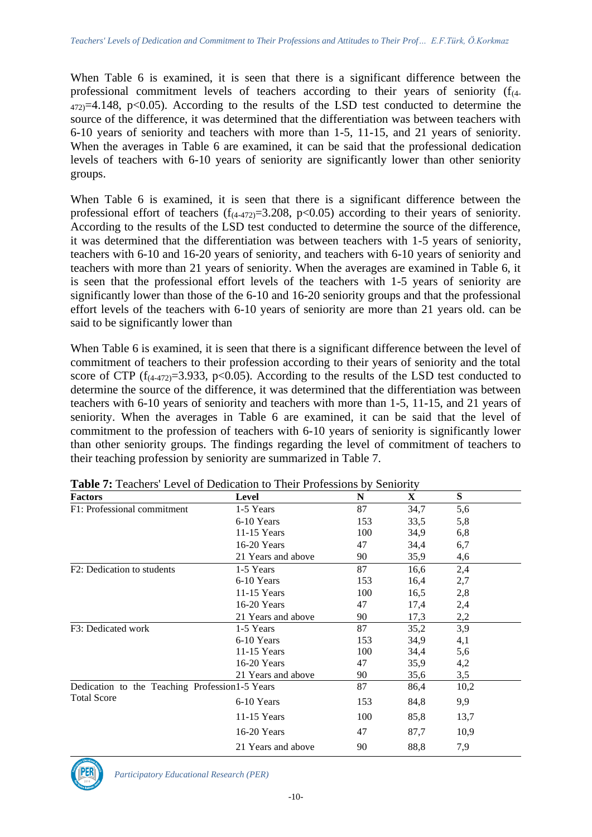When Table 6 is examined, it is seen that there is a significant difference between the professional commitment levels of teachers according to their years of seniority  $(f<sub>(4)</sub> - f<sub>(4)</sub>)$  $472$ )=4.148, p<0.05). According to the results of the LSD test conducted to determine the source of the difference, it was determined that the differentiation was between teachers with 6-10 years of seniority and teachers with more than 1-5, 11-15, and 21 years of seniority. When the averages in Table 6 are examined, it can be said that the professional dedication levels of teachers with 6-10 years of seniority are significantly lower than other seniority groups.

When Table 6 is examined, it is seen that there is a significant difference between the professional effort of teachers  $(f_{(4-472)}=3.208, p<0.05)$  according to their years of seniority. According to the results of the LSD test conducted to determine the source of the difference, it was determined that the differentiation was between teachers with 1-5 years of seniority, teachers with 6-10 and 16-20 years of seniority, and teachers with 6-10 years of seniority and teachers with more than 21 years of seniority. When the averages are examined in Table 6, it is seen that the professional effort levels of the teachers with 1-5 years of seniority are significantly lower than those of the 6-10 and 16-20 seniority groups and that the professional effort levels of the teachers with 6-10 years of seniority are more than 21 years old. can be said to be significantly lower than

When Table 6 is examined, it is seen that there is a significant difference between the level of commitment of teachers to their profession according to their years of seniority and the total score of CTP ( $f_{(4-472)}=3.933$ , p<0.05). According to the results of the LSD test conducted to determine the source of the difference, it was determined that the differentiation was between teachers with 6-10 years of seniority and teachers with more than 1-5, 11-15, and 21 years of seniority. When the averages in Table 6 are examined, it can be said that the level of commitment to the profession of teachers with 6-10 years of seniority is significantly lower than other seniority groups. The findings regarding the level of commitment of teachers to their teaching profession by seniority are summarized in Table 7.

| <b>Factors</b>                                                         | Level              | N   | X    | ${\bf S}$ |
|------------------------------------------------------------------------|--------------------|-----|------|-----------|
| F1: Professional commitment                                            | 1-5 Years          | 87  | 34,7 | 5,6       |
| F2: Dedication to students<br>F3: Dedicated work<br><b>Total Score</b> | 6-10 Years         | 153 | 33.5 | 5,8       |
|                                                                        | $11-15$ Years      | 100 | 34,9 | 6,8       |
|                                                                        | 16-20 Years        | 47  | 34,4 | 6,7       |
|                                                                        | 21 Years and above | 90  | 35,9 | 4,6       |
|                                                                        | 1-5 Years          | 87  | 16,6 | 2,4       |
|                                                                        | 6-10 Years         | 153 | 16,4 | 2,7       |
|                                                                        | $11-15$ Years      | 100 | 16,5 | 2,8       |
|                                                                        | 16-20 Years        | 47  | 17,4 | 2,4       |
|                                                                        | 21 Years and above | 90  | 17,3 | 2,2       |
|                                                                        | 1-5 Years          | 87  | 35,2 | 3,9       |
|                                                                        | 6-10 Years         | 153 | 34,9 | 4,1       |
|                                                                        | $11-15$ Years      | 100 | 34,4 | 5,6       |
|                                                                        | 16-20 Years        | 47  | 35,9 | 4,2       |
|                                                                        | 21 Years and above | 90  | 35,6 | 3,5       |
| Dedication to the Teaching Profession1-5 Years                         |                    | 87  | 86,4 | 10,2      |
|                                                                        | 6-10 Years         | 153 | 84,8 | 9,9       |
|                                                                        | $11-15$ Years      | 100 | 85,8 | 13,7      |
|                                                                        | 16-20 Years        | 47  | 87,7 | 10,9      |
|                                                                        | 21 Years and above | 90  | 88,8 | 7,9       |

**Table 7:** Teachers' Level of Dedication to Their Professions by Seniority

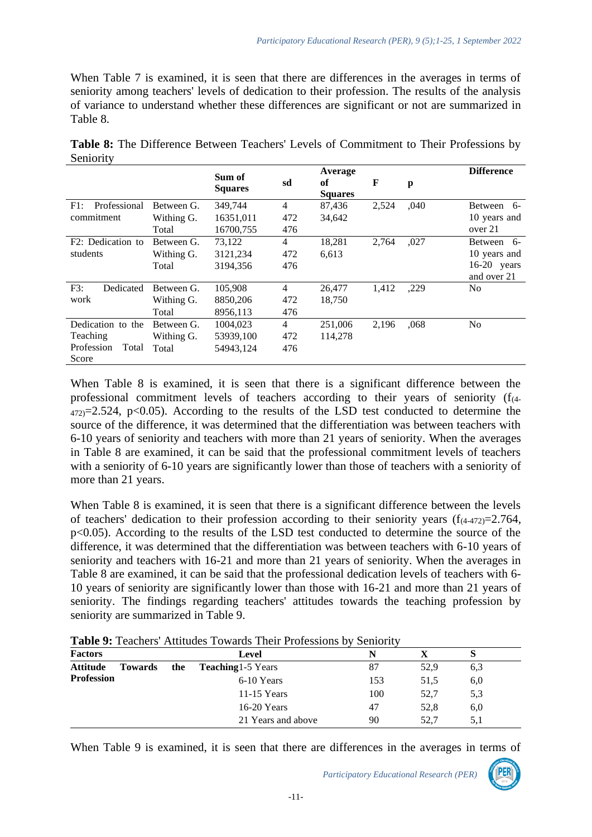When Table 7 is examined, it is seen that there are differences in the averages in terms of seniority among teachers' levels of dedication to their profession. The results of the analysis of variance to understand whether these differences are significant or not are summarized in Table 8.

|                     |            | Sum of<br><b>Squares</b> | sd             | Average<br>of<br><b>Squares</b> | $\mathbf F$ | $\mathbf{p}$ | <b>Difference</b> |
|---------------------|------------|--------------------------|----------------|---------------------------------|-------------|--------------|-------------------|
| Professional<br>F1: | Between G. | 349,744                  | $\overline{4}$ | 87,436                          | 2,524       | ,040         | Between<br>- 6-   |
| commitment          | Withing G. | 16351,011                | 472            | 34,642                          |             |              | 10 years and      |
|                     | Total      | 16700,755                | 476            |                                 |             |              | over 21           |
| F2: Dedication to   | Between G. | 73,122                   | $\overline{4}$ | 18,281                          | 2,764       | ,027         | Between 6-        |
| students            | Withing G. | 3121,234                 | 472            | 6,613                           |             |              | 10 years and      |
|                     | Total      | 3194,356                 | 476            |                                 |             |              | $16-20$<br>years  |
|                     |            |                          |                |                                 |             |              | and over 21       |
| F3:<br>Dedicated    | Between G. | 105,908                  | $\overline{4}$ | 26,477                          | 1,412       | ,229         | N <sub>0</sub>    |
| work                | Withing G. | 8850,206                 | 472            | 18,750                          |             |              |                   |
|                     | Total      | 8956,113                 | 476            |                                 |             |              |                   |
| Dedication to the   | Between G. | 1004.023                 | $\overline{4}$ | 251,006                         | 2,196       | ,068         | N <sub>0</sub>    |
| Teaching            | Withing G. | 53939,100                | 472            | 114,278                         |             |              |                   |
| Profession<br>Total | Total      | 54943.124                | 476            |                                 |             |              |                   |
| Score               |            |                          |                |                                 |             |              |                   |

**Table 8:** The Difference Between Teachers' Levels of Commitment to Their Professions by Seniority

When Table 8 is examined, it is seen that there is a significant difference between the professional commitment levels of teachers according to their years of seniority  $(f_{(4)})$  $472$  = 2.524, p<0.05). According to the results of the LSD test conducted to determine the source of the difference, it was determined that the differentiation was between teachers with 6-10 years of seniority and teachers with more than 21 years of seniority. When the averages in Table 8 are examined, it can be said that the professional commitment levels of teachers with a seniority of 6-10 years are significantly lower than those of teachers with a seniority of more than 21 years.

When Table 8 is examined, it is seen that there is a significant difference between the levels of teachers' dedication to their profession according to their seniority years  $(f_{(4-472)}=2.764,$ p<0.05). According to the results of the LSD test conducted to determine the source of the difference, it was determined that the differentiation was between teachers with 6-10 years of seniority and teachers with 16-21 and more than 21 years of seniority. When the averages in Table 8 are examined, it can be said that the professional dedication levels of teachers with 6- 10 years of seniority are significantly lower than those with 16-21 and more than 21 years of seniority. The findings regarding teachers' attitudes towards the teaching profession by seniority are summarized in Table 9.

| Table 9: Teachers' Attitudes Towards Their Professions by Seniority |  |  |  |
|---------------------------------------------------------------------|--|--|--|
|---------------------------------------------------------------------|--|--|--|

| <b>Factors</b>                    |     | Level                     |     |      | O   |  |
|-----------------------------------|-----|---------------------------|-----|------|-----|--|
| <b>Attitude</b><br><b>Towards</b> | the | <b>Teaching</b> 1-5 Years | 87  | 52,9 | 6.3 |  |
| <b>Profession</b>                 |     | 6-10 Years                | 153 | 51,5 | 6,0 |  |
|                                   |     | $11-15$ Years             | 100 | 52,7 | 5,3 |  |
|                                   |     | 16-20 Years               | 47  | 52,8 | 6,0 |  |
|                                   |     | 21 Years and above        | 90  | 52.7 | 5,1 |  |

When Table 9 is examined, it is seen that there are differences in the averages in terms of

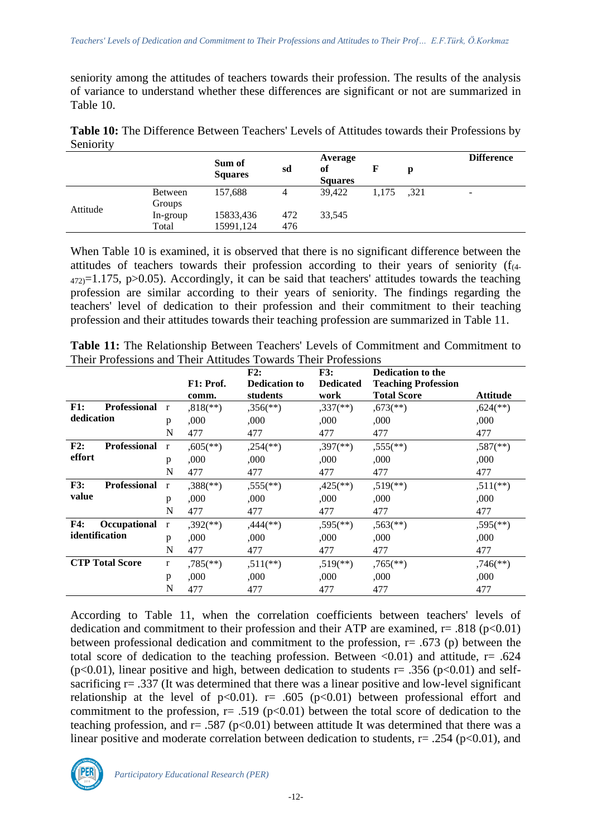seniority among the attitudes of teachers towards their profession. The results of the analysis of variance to understand whether these differences are significant or not are summarized in Table 10.

| Table 10: The Difference Between Teachers' Levels of Attitudes towards their Professions by |  |
|---------------------------------------------------------------------------------------------|--|
| Seniority                                                                                   |  |

|          |                | Sum of         |     | Average |                |      | <b>Difference</b>        |
|----------|----------------|----------------|-----|---------|----------------|------|--------------------------|
|          |                |                | sd  | of      | F              | р    |                          |
|          |                | <b>Squares</b> |     |         | <b>Squares</b> |      |                          |
| Attitude | <b>Between</b> | 157,688        | 4   | 39.422  | 1.175          | ,321 | $\overline{\phantom{a}}$ |
|          | Groups         |                |     |         |                |      |                          |
|          | In-group       | 15833,436      | 472 | 33,545  |                |      |                          |
|          | Total          | 15991,124      | 476 |         |                |      |                          |
|          |                |                |     |         |                |      |                          |

When Table 10 is examined, it is observed that there is no significant difference between the attitudes of teachers towards their profession according to their years of seniority  $(f_{(4)}-f_{(4)})$  $472$  = 1.175, p > 0.05). Accordingly, it can be said that teachers' attitudes towards the teaching profession are similar according to their years of seniority. The findings regarding the teachers' level of dedication to their profession and their commitment to their teaching profession and their attitudes towards their teaching profession are summarized in Table 11.

|                |                        |              |                          | F2:                      | F3:                      | <b>Dedication to the</b>   |                          |
|----------------|------------------------|--------------|--------------------------|--------------------------|--------------------------|----------------------------|--------------------------|
|                |                        |              | F1: Prof.                | <b>Dedication to</b>     | <b>Dedicated</b>         | <b>Teaching Profession</b> |                          |
|                |                        |              | comm.                    | students                 | work                     | <b>Total Score</b>         | Attitude                 |
| F1:            | <b>Professional</b>    | $\mathbf{r}$ | $,818$ <sup>**</sup> )   | $,356$ <sup>(**)</sup> ) | $,337$ <sup>(**)</sup> ) | $,673$ <sup>**</sup> )     | $,624$ <sup>**</sup> )   |
| dedication     |                        | p            | .000                     | ,000                     | ,000                     | ,000                       | ,000                     |
|                |                        | N            | 477                      | 477                      | 477                      | 477                        | 477                      |
| F2:            | <b>Professional</b>    | $\mathbf{r}$ | $,605$ <sup>**</sup> )   | $,254$ <sup>(**)</sup> ) | $,397$ <sup>(**)</sup> ) | $,555$ <sup>(**)</sup> )   | $,587$ <sup>(**)</sup> ) |
| effort         |                        | p            | ,000                     | ,000                     | ,000                     | ,000                       | ,000                     |
|                |                        | N            | 477                      | 477                      | 477                      | 477                        | 477                      |
| F3:            | <b>Professional</b>    | $\mathbf{r}$ | $,388$ <sup>(**)</sup> ) | $,555$ <sup>(**)</sup>   | $,425$ <sup>**</sup> )   | $,519$ <sup>**</sup> )     | $,511$ <sup>**</sup> )   |
| value          |                        | p            | ,000                     | ,000                     | ,000                     | ,000                       | ,000                     |
|                |                        | N            | 477                      | 477                      | 477                      | 477                        | 477                      |
| <b>F4:</b>     | Occupational           | $\mathbf{r}$ | $,392$ <sup>(**)</sup> ) | $,444$ <sup>(**)</sup> ) | $,595$ <sup>(**)</sup> ) | $,563$ <sup>(**)</sup> )   | $,595$ <sup>(**)</sup> ) |
| identification |                        | p            | ,000                     | ,000                     | ,000                     | ,000                       | .000                     |
|                |                        | N            | 477                      | 477                      | 477                      | 477                        | 477                      |
|                | <b>CTP Total Score</b> | r            | $,785$ <sup>(**)</sup> ) | $,511$ (**)              | $,519$ <sup>**</sup> )   | $,765$ <sup>(**)</sup> )   | $,746$ <sup>**</sup> )   |
|                |                        | p            | .000                     | ,000                     | ,000                     | ,000                       | ,000                     |
|                |                        | N            | 477                      | 477                      | 477                      | 477                        | 477                      |

**Table 11:** The Relationship Between Teachers' Levels of Commitment and Commitment to Their Professions and Their Attitudes Towards Their Professions

According to Table 11, when the correlation coefficients between teachers' levels of dedication and commitment to their profession and their ATP are examined,  $r = .818$  ( $p < 0.01$ ) between professional dedication and commitment to the profession, r= .673 (p) between the total score of dedication to the teaching profession. Between  $\langle 0.01 \rangle$  and attitude, r= .624 ( $p<0.01$ ), linear positive and high, between dedication to students  $r= .356$  ( $p<0.01$ ) and selfsacrificing r= .337 (It was determined that there was a linear positive and low-level significant relationship at the level of  $p<0.01$ .  $r= .605$  ( $p<0.01$ ) between professional effort and commitment to the profession,  $r = .519$  ( $p < 0.01$ ) between the total score of dedication to the teaching profession, and  $r = .587$  (p<0.01) between attitude It was determined that there was a linear positive and moderate correlation between dedication to students,  $r = .254$  ( $p < 0.01$ ), and

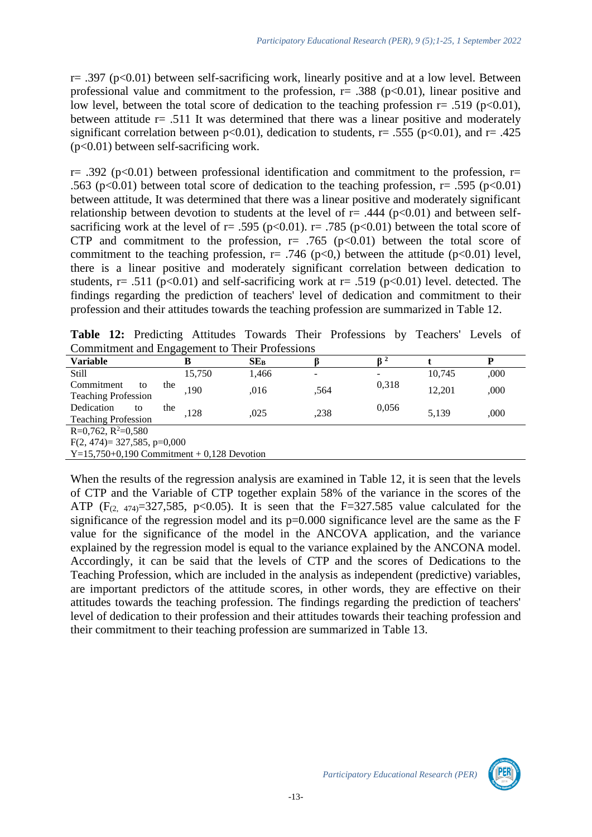$r=$  .397 (p<0.01) between self-sacrificing work, linearly positive and at a low level. Between professional value and commitment to the profession,  $r = .388$  ( $p < 0.01$ ), linear positive and low level, between the total score of dedication to the teaching profession  $r = .519$  (p<0.01), between attitude  $r = .511$  It was determined that there was a linear positive and moderately significant correlation between  $p<0.01$ ), dedication to students, r= .555 ( $p<0.01$ ), and r= .425 (p<0.01) between self-sacrificing work.

r= .392 (p<0.01) between professional identification and commitment to the profession, r= .563 (p<0.01) between total score of dedication to the teaching profession,  $r = .595$  (p<0.01) between attitude, It was determined that there was a linear positive and moderately significant relationship between devotion to students at the level of  $r = .444$  ( $p < 0.01$ ) and between selfsacrificing work at the level of  $r = .595$  ( $p < 0.01$ ).  $r = .785$  ( $p < 0.01$ ) between the total score of CTP and commitment to the profession,  $r = .765$  ( $p < 0.01$ ) between the total score of commitment to the teaching profession,  $r = .746$  ( $p < 0$ ), between the attitude ( $p < 0.01$ ) level, there is a linear positive and moderately significant correlation between dedication to students, r= .511 ( $p<0.01$ ) and self-sacrificing work at r= .519 ( $p<0.01$ ) level. detected. The findings regarding the prediction of teachers' level of dedication and commitment to their profession and their attitudes towards the teaching profession are summarized in Table 12.

**Table 12:** Predicting Attitudes Towards Their Professions by Teachers' Levels of Commitment and Engagement to Their Professions

| <b>Variable</b>                                                                                                                                                                                                                                                                                                                    | В                              | SE <sub>B</sub> |                          |       |        |      |  |  |
|------------------------------------------------------------------------------------------------------------------------------------------------------------------------------------------------------------------------------------------------------------------------------------------------------------------------------------|--------------------------------|-----------------|--------------------------|-------|--------|------|--|--|
| <b>Still</b>                                                                                                                                                                                                                                                                                                                       | 15,750                         | 1,466           | $\overline{\phantom{a}}$ |       | 10.745 | ,000 |  |  |
| Commitment<br>to                                                                                                                                                                                                                                                                                                                   | the<br>,190                    | ,016            | ,564                     | 0,318 | 12.201 | ,000 |  |  |
| <b>Teaching Profession</b>                                                                                                                                                                                                                                                                                                         |                                |                 |                          |       |        |      |  |  |
| Dedication<br>to                                                                                                                                                                                                                                                                                                                   | the<br>.128                    | .025            | .238                     | 0,056 | 5.139  | .000 |  |  |
| <b>Teaching Profession</b>                                                                                                                                                                                                                                                                                                         |                                |                 |                          |       |        |      |  |  |
| $R=0,762, R^2=0,580$                                                                                                                                                                                                                                                                                                               |                                |                 |                          |       |        |      |  |  |
|                                                                                                                                                                                                                                                                                                                                    | $F(2, 474) = 327,585, p=0,000$ |                 |                          |       |        |      |  |  |
| $\mathbf{v}$ $\mathbf{v}$ $\mathbf{v}$ $\mathbf{v}$ $\mathbf{v}$ $\mathbf{v}$ $\mathbf{v}$ $\mathbf{v}$ $\mathbf{v}$ $\mathbf{v}$ $\mathbf{v}$ $\mathbf{v}$ $\mathbf{v}$ $\mathbf{v}$ $\mathbf{v}$ $\mathbf{v}$ $\mathbf{v}$ $\mathbf{v}$ $\mathbf{v}$ $\mathbf{v}$ $\mathbf{v}$ $\mathbf{v}$ $\mathbf{v}$ $\mathbf{v}$ $\mathbf{$ | $0.180$ m                      |                 |                          |       |        |      |  |  |

 $Y=15,750+0,190$  Commitment + 0,128 Devotion

When the results of the regression analysis are examined in Table 12, it is seen that the levels of CTP and the Variable of CTP together explain 58% of the variance in the scores of the ATP ( $F_{(2, 474)} = 327,585$ ,  $p < 0.05$ ). It is seen that the  $F = 327.585$  value calculated for the significance of the regression model and its  $p=0.000$  significance level are the same as the F value for the significance of the model in the ANCOVA application, and the variance explained by the regression model is equal to the variance explained by the ANCONA model. Accordingly, it can be said that the levels of CTP and the scores of Dedications to the Teaching Profession, which are included in the analysis as independent (predictive) variables, are important predictors of the attitude scores, in other words, they are effective on their attitudes towards the teaching profession. The findings regarding the prediction of teachers' level of dedication to their profession and their attitudes towards their teaching profession and their commitment to their teaching profession are summarized in Table 13.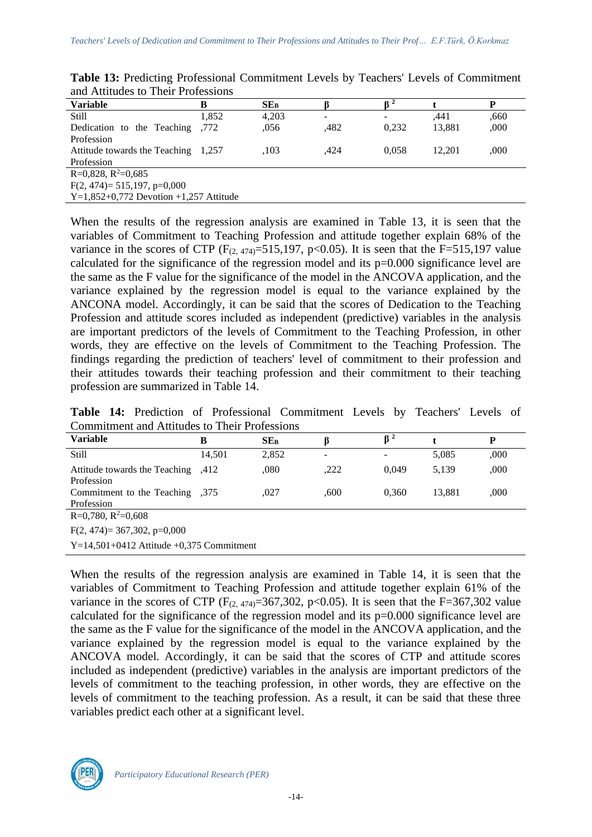| <b>Variable</b>                          | в     | SE <sub>B</sub> |      |       |        | D    |  |
|------------------------------------------|-------|-----------------|------|-------|--------|------|--|
| <b>Still</b>                             | 1,852 | 4,203           | -    |       | .441   | .660 |  |
| Dedication to the Teaching               | .772  | .056            | .482 | 0.232 | 13,881 | ,000 |  |
| Profession                               |       |                 |      |       |        |      |  |
| Attitude towards the Teaching 1,257      |       | .103            | ,424 | 0.058 | 12.201 | ,000 |  |
| Profession                               |       |                 |      |       |        |      |  |
| $R=0,828, R^2=0,685$                     |       |                 |      |       |        |      |  |
| $F(2, 474) = 515,197, p=0,000$           |       |                 |      |       |        |      |  |
| $Y=1,852+0,772$ Devotion +1,257 Attitude |       |                 |      |       |        |      |  |

**Table 13:** Predicting Professional Commitment Levels by Teachers' Levels of Commitment and Attitudes to Their Professions

When the results of the regression analysis are examined in Table 13, it is seen that the variables of Commitment to Teaching Profession and attitude together explain 68% of the variance in the scores of CTP ( $F_{(2,474)} = 515,197, p < 0.05$ ). It is seen that the F=515,197 value calculated for the significance of the regression model and its p=0.000 significance level are the same as the F value for the significance of the model in the ANCOVA application, and the variance explained by the regression model is equal to the variance explained by the ANCONA model. Accordingly, it can be said that the scores of Dedication to the Teaching Profession and attitude scores included as independent (predictive) variables in the analysis are important predictors of the levels of Commitment to the Teaching Profession, in other words, they are effective on the levels of Commitment to the Teaching Profession. The findings regarding the prediction of teachers' level of commitment to their profession and their attitudes towards their teaching profession and their commitment to their teaching profession are summarized in Table 14.

**Table 14:** Prediction of Professional Commitment Levels by Teachers' Levels of Commitment and Attitudes to Their Professions

| <b>Variable</b>                                  | в      | $SE_{B}$ |      | $\beta^2$ |        | P    |  |  |
|--------------------------------------------------|--------|----------|------|-----------|--------|------|--|--|
| <b>Still</b>                                     | 14,501 | 2,852    |      |           | 5,085  | ,000 |  |  |
| 412, Attitude towards the Teaching<br>Profession |        | .080     | ,222 | 0.049     | 5,139  | ,000 |  |  |
| 375, Commitment to the Teaching<br>Profession    |        | ,027     | .600 | 0.360     | 13,881 | ,000 |  |  |
| $R=0,780, R^2=0,608$                             |        |          |      |           |        |      |  |  |
| $F(2, 474) = 367,302, p=0,000$                   |        |          |      |           |        |      |  |  |
| $Y=14.501+0412$ Attitude +0.375 Commitment       |        |          |      |           |        |      |  |  |

When the results of the regression analysis are examined in Table 14, it is seen that the variables of Commitment to Teaching Profession and attitude together explain 61% of the variance in the scores of CTP ( $F_{(2,474)}$ =367,302, p<0.05). It is seen that the F=367,302 value calculated for the significance of the regression model and its p=0.000 significance level are the same as the F value for the significance of the model in the ANCOVA application, and the variance explained by the regression model is equal to the variance explained by the ANCOVA model. Accordingly, it can be said that the scores of CTP and attitude scores included as independent (predictive) variables in the analysis are important predictors of the levels of commitment to the teaching profession, in other words, they are effective on the levels of commitment to the teaching profession. As a result, it can be said that these three variables predict each other at a significant level.

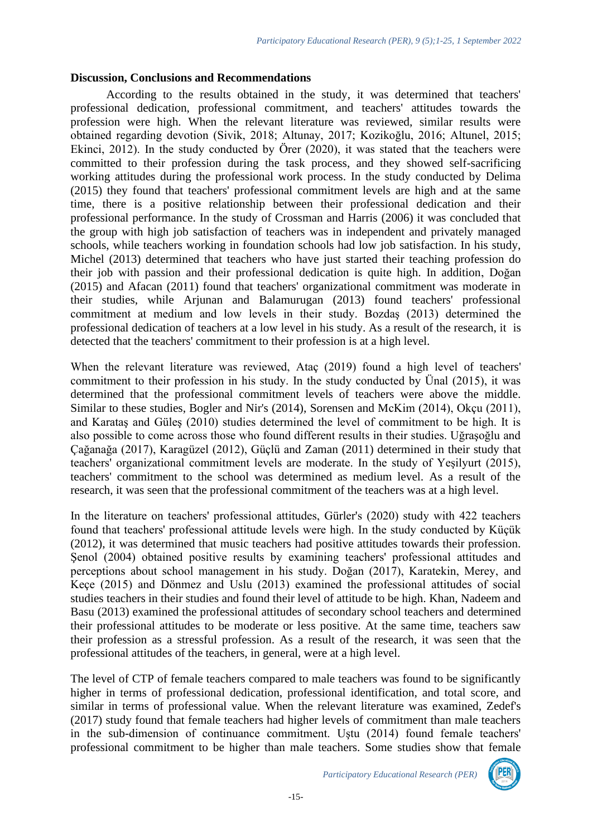#### **Discussion, Conclusions and Recommendations**

According to the results obtained in the study, it was determined that teachers' professional dedication, professional commitment, and teachers' attitudes towards the profession were high. When the relevant literature was reviewed, similar results were obtained regarding devotion (Sivik, 2018; Altunay, 2017; Kozikoğlu, 2016; Altunel, 2015; Ekinci, 2012). In the study conducted by Örer (2020), it was stated that the teachers were committed to their profession during the task process, and they showed self-sacrificing working attitudes during the professional work process. In the study conducted by Delima (2015) they found that teachers' professional commitment levels are high and at the same time, there is a positive relationship between their professional dedication and their professional performance. In the study of Crossman and Harris (2006) it was concluded that the group with high job satisfaction of teachers was in independent and privately managed schools, while teachers working in foundation schools had low job satisfaction. In his study, Michel (2013) determined that teachers who have just started their teaching profession do their job with passion and their professional dedication is quite high. In addition, Doğan (2015) and Afacan (2011) found that teachers' organizational commitment was moderate in their studies, while Arjunan and Balamurugan (2013) found teachers' professional commitment at medium and low levels in their study. Bozdaş (2013) determined the professional dedication of teachers at a low level in his study. As a result of the research, it is detected that the teachers' commitment to their profession is at a high level.

When the relevant literature was reviewed, Ataç (2019) found a high level of teachers' commitment to their profession in his study. In the study conducted by Ünal (2015), it was determined that the professional commitment levels of teachers were above the middle. Similar to these studies, Bogler and Nir's (2014), Sorensen and McKim (2014), Okçu (2011), and Karataş and Güleş (2010) studies determined the level of commitment to be high. It is also possible to come across those who found different results in their studies. Uğraşoğlu and Çağanağa (2017), Karagüzel (2012), Güçlü and Zaman (2011) determined in their study that teachers' organizational commitment levels are moderate. In the study of Yeşilyurt (2015), teachers' commitment to the school was determined as medium level. As a result of the research, it was seen that the professional commitment of the teachers was at a high level.

In the literature on teachers' professional attitudes, Gürler's (2020) study with 422 teachers found that teachers' professional attitude levels were high. In the study conducted by Küçük (2012), it was determined that music teachers had positive attitudes towards their profession. Şenol (2004) obtained positive results by examining teachers' professional attitudes and perceptions about school management in his study. Doğan (2017), Karatekin, Merey, and Keçe (2015) and Dönmez and Uslu (2013) examined the professional attitudes of social studies teachers in their studies and found their level of attitude to be high. Khan, Nadeem and Basu (2013) examined the professional attitudes of secondary school teachers and determined their professional attitudes to be moderate or less positive. At the same time, teachers saw their profession as a stressful profession. As a result of the research, it was seen that the professional attitudes of the teachers, in general, were at a high level.

The level of CTP of female teachers compared to male teachers was found to be significantly higher in terms of professional dedication, professional identification, and total score, and similar in terms of professional value. When the relevant literature was examined, Zedef's (2017) study found that female teachers had higher levels of commitment than male teachers in the sub-dimension of continuance commitment. Uştu (2014) found female teachers' professional commitment to be higher than male teachers. Some studies show that female

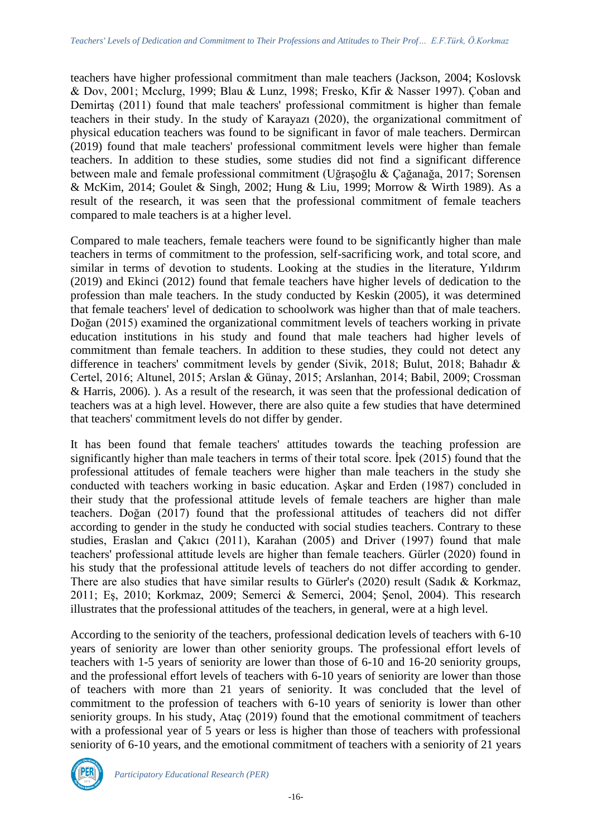teachers have higher professional commitment than male teachers (Jackson, 2004; Koslovsk & Dov, 2001; Mcclurg, 1999; Blau & Lunz, 1998; Fresko, Kfir & Nasser 1997). Çoban and Demirtaş (2011) found that male teachers' professional commitment is higher than female teachers in their study. In the study of Karayazı (2020), the organizational commitment of physical education teachers was found to be significant in favor of male teachers. Dermircan (2019) found that male teachers' professional commitment levels were higher than female teachers. In addition to these studies, some studies did not find a significant difference between male and female professional commitment (Uğraşoğlu & Çağanağa, 2017; Sorensen & McKim, 2014; Goulet & Singh, 2002; Hung & Liu, 1999; Morrow & Wirth 1989). As a result of the research, it was seen that the professional commitment of female teachers compared to male teachers is at a higher level.

Compared to male teachers, female teachers were found to be significantly higher than male teachers in terms of commitment to the profession, self-sacrificing work, and total score, and similar in terms of devotion to students. Looking at the studies in the literature, Yıldırım (2019) and Ekinci (2012) found that female teachers have higher levels of dedication to the profession than male teachers. In the study conducted by Keskin (2005), it was determined that female teachers' level of dedication to schoolwork was higher than that of male teachers. Doğan (2015) examined the organizational commitment levels of teachers working in private education institutions in his study and found that male teachers had higher levels of commitment than female teachers. In addition to these studies, they could not detect any difference in teachers' commitment levels by gender (Sivik, 2018; Bulut, 2018; Bahadır & Certel, 2016; Altunel, 2015; Arslan & Günay, 2015; Arslanhan, 2014; Babil, 2009; Crossman & Harris, 2006). ). As a result of the research, it was seen that the professional dedication of teachers was at a high level. However, there are also quite a few studies that have determined that teachers' commitment levels do not differ by gender.

It has been found that female teachers' attitudes towards the teaching profession are significantly higher than male teachers in terms of their total score. İpek (2015) found that the professional attitudes of female teachers were higher than male teachers in the study she conducted with teachers working in basic education. Aşkar and Erden (1987) concluded in their study that the professional attitude levels of female teachers are higher than male teachers. Doğan (2017) found that the professional attitudes of teachers did not differ according to gender in the study he conducted with social studies teachers. Contrary to these studies, Eraslan and Çakıcı (2011), Karahan (2005) and Driver (1997) found that male teachers' professional attitude levels are higher than female teachers. Gürler (2020) found in his study that the professional attitude levels of teachers do not differ according to gender. There are also studies that have similar results to Gürler's (2020) result (Sadık & Korkmaz, 2011; Eş, 2010; Korkmaz, 2009; Semerci & Semerci, 2004; Şenol, 2004). This research illustrates that the professional attitudes of the teachers, in general, were at a high level.

According to the seniority of the teachers, professional dedication levels of teachers with 6-10 years of seniority are lower than other seniority groups. The professional effort levels of teachers with 1-5 years of seniority are lower than those of 6-10 and 16-20 seniority groups, and the professional effort levels of teachers with 6-10 years of seniority are lower than those of teachers with more than 21 years of seniority. It was concluded that the level of commitment to the profession of teachers with 6-10 years of seniority is lower than other seniority groups. In his study, Ataç (2019) found that the emotional commitment of teachers with a professional year of 5 years or less is higher than those of teachers with professional seniority of 6-10 years, and the emotional commitment of teachers with a seniority of 21 years

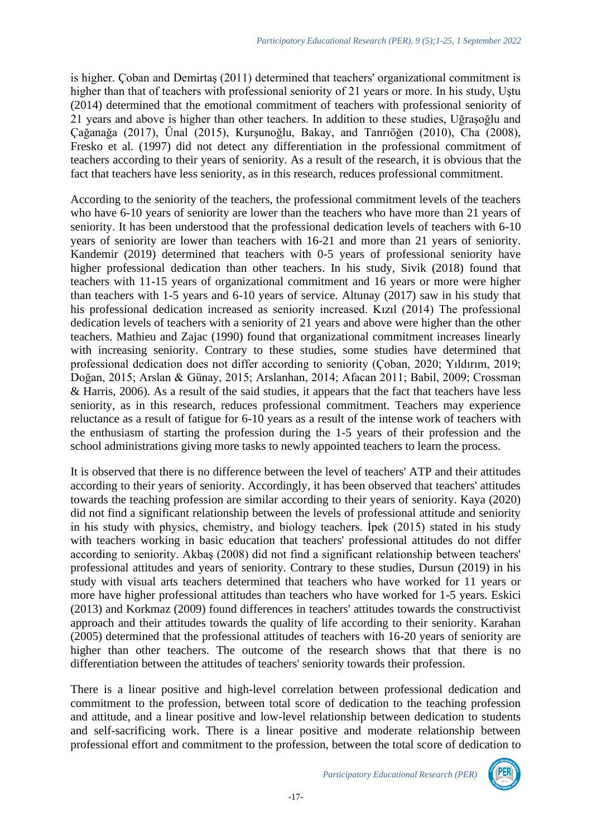is higher. Çoban and Demirtaş (2011) determined that teachers' organizational commitment is higher than that of teachers with professional seniority of 21 years or more. In his study, Uştu (2014) determined that the emotional commitment of teachers with professional seniority of 21 years and above is higher than other teachers. In addition to these studies, Uğraşoğlu and Çağanağa (2017), Ünal (2015), Kurşunoğlu, Bakay, and Tanrıöğen (2010), Cha (2008), Fresko et al. (1997) did not detect any differentiation in the professional commitment of teachers according to their years of seniority. As a result of the research, it is obvious that the fact that teachers have less seniority, as in this research, reduces professional commitment.

According to the seniority of the teachers, the professional commitment levels of the teachers who have 6-10 years of seniority are lower than the teachers who have more than 21 years of seniority. It has been understood that the professional dedication levels of teachers with 6-10 years of seniority are lower than teachers with 16-21 and more than 21 years of seniority. Kandemir (2019) determined that teachers with 0-5 years of professional seniority have higher professional dedication than other teachers. In his study, Sivik (2018) found that teachers with 11-15 years of organizational commitment and 16 years or more were higher than teachers with 1-5 years and 6-10 years of service. Altunay (2017) saw in his study that his professional dedication increased as seniority increased. Kızıl (2014) The professional dedication levels of teachers with a seniority of 21 years and above were higher than the other teachers. Mathieu and Zajac (1990) found that organizational commitment increases linearly with increasing seniority. Contrary to these studies, some studies have determined that professional dedication does not differ according to seniority (Çoban, 2020; Yıldırım, 2019; Doğan, 2015; Arslan & Günay, 2015; Arslanhan, 2014; Afacan 2011; Babil, 2009; Crossman & Harris, 2006). As a result of the said studies, it appears that the fact that teachers have less seniority, as in this research, reduces professional commitment. Teachers may experience reluctance as a result of fatigue for 6-10 years as a result of the intense work of teachers with the enthusiasm of starting the profession during the 1-5 years of their profession and the school administrations giving more tasks to newly appointed teachers to learn the process.

It is observed that there is no difference between the level of teachers' ATP and their attitudes according to their years of seniority. Accordingly, it has been observed that teachers' attitudes towards the teaching profession are similar according to their years of seniority. Kaya (2020) did not find a significant relationship between the levels of professional attitude and seniority in his study with physics, chemistry, and biology teachers. İpek (2015) stated in his study with teachers working in basic education that teachers' professional attitudes do not differ according to seniority. Akbaş (2008) did not find a significant relationship between teachers' professional attitudes and years of seniority. Contrary to these studies, Dursun (2019) in his study with visual arts teachers determined that teachers who have worked for 11 years or more have higher professional attitudes than teachers who have worked for 1-5 years. Eskici (2013) and Korkmaz (2009) found differences in teachers' attitudes towards the constructivist approach and their attitudes towards the quality of life according to their seniority. Karahan (2005) determined that the professional attitudes of teachers with 16-20 years of seniority are higher than other teachers. The outcome of the research shows that that there is no differentiation between the attitudes of teachers' seniority towards their profession.

There is a linear positive and high-level correlation between professional dedication and commitment to the profession, between total score of dedication to the teaching profession and attitude, and a linear positive and low-level relationship between dedication to students and self-sacrificing work. There is a linear positive and moderate relationship between professional effort and commitment to the profession, between the total score of dedication to

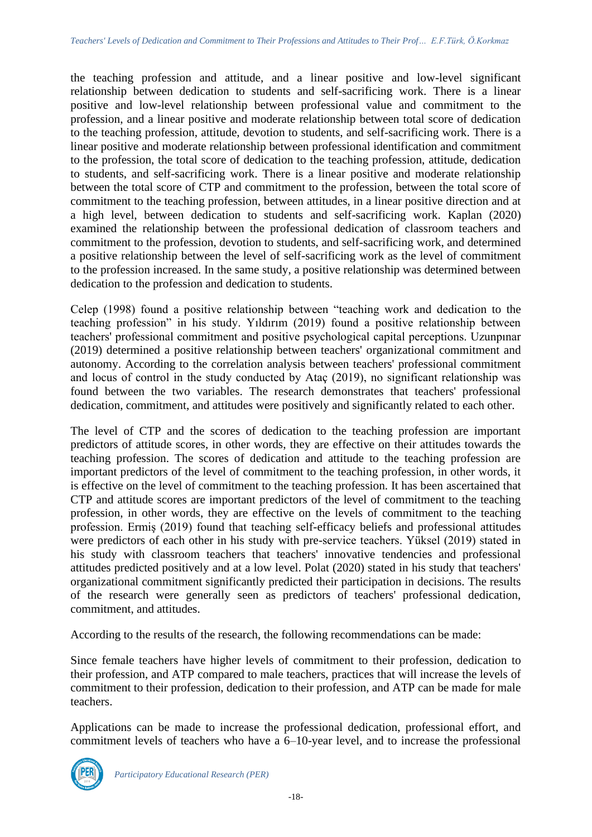the teaching profession and attitude, and a linear positive and low-level significant relationship between dedication to students and self-sacrificing work. There is a linear positive and low-level relationship between professional value and commitment to the profession, and a linear positive and moderate relationship between total score of dedication to the teaching profession, attitude, devotion to students, and self-sacrificing work. There is a linear positive and moderate relationship between professional identification and commitment to the profession, the total score of dedication to the teaching profession, attitude, dedication to students, and self-sacrificing work. There is a linear positive and moderate relationship between the total score of CTP and commitment to the profession, between the total score of commitment to the teaching profession, between attitudes, in a linear positive direction and at a high level, between dedication to students and self-sacrificing work. Kaplan (2020) examined the relationship between the professional dedication of classroom teachers and commitment to the profession, devotion to students, and self-sacrificing work, and determined a positive relationship between the level of self-sacrificing work as the level of commitment to the profession increased. In the same study, a positive relationship was determined between dedication to the profession and dedication to students.

Celep (1998) found a positive relationship between "teaching work and dedication to the teaching profession" in his study. Yıldırım (2019) found a positive relationship between teachers' professional commitment and positive psychological capital perceptions. Uzunpınar (2019) determined a positive relationship between teachers' organizational commitment and autonomy. According to the correlation analysis between teachers' professional commitment and locus of control in the study conducted by Ataç (2019), no significant relationship was found between the two variables. The research demonstrates that teachers' professional dedication, commitment, and attitudes were positively and significantly related to each other.

The level of CTP and the scores of dedication to the teaching profession are important predictors of attitude scores, in other words, they are effective on their attitudes towards the teaching profession. The scores of dedication and attitude to the teaching profession are important predictors of the level of commitment to the teaching profession, in other words, it is effective on the level of commitment to the teaching profession. It has been ascertained that CTP and attitude scores are important predictors of the level of commitment to the teaching profession, in other words, they are effective on the levels of commitment to the teaching profession. Ermiş (2019) found that teaching self-efficacy beliefs and professional attitudes were predictors of each other in his study with pre-service teachers. Yüksel (2019) stated in his study with classroom teachers that teachers' innovative tendencies and professional attitudes predicted positively and at a low level. Polat (2020) stated in his study that teachers' organizational commitment significantly predicted their participation in decisions. The results of the research were generally seen as predictors of teachers' professional dedication, commitment, and attitudes.

According to the results of the research, the following recommendations can be made:

Since female teachers have higher levels of commitment to their profession, dedication to their profession, and ATP compared to male teachers, practices that will increase the levels of commitment to their profession, dedication to their profession, and ATP can be made for male teachers.

Applications can be made to increase the professional dedication, professional effort, and commitment levels of teachers who have a 6–10-year level, and to increase the professional

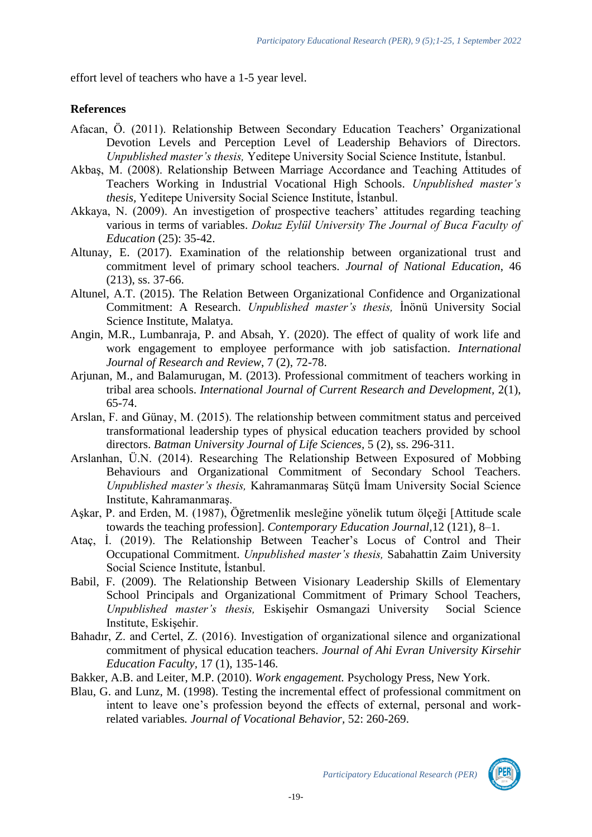effort level of teachers who have a 1-5 year level.

### **References**

- Afacan, Ö. (2011). Relationship Between Secondary Education Teachers' Organizational Devotion Levels and Perception Level of Leadership Behaviors of Directors. *Unpublished master's thesis,* Yeditepe University Social Science Institute, İstanbul.
- Akbaş, M. (2008). Relationship Between Marriage Accordance and Teaching Attitudes of Teachers Working in Industrial Vocational High Schools. *Unpublished master's thesis,* Yeditepe University Social Science Institute, İstanbul.
- Akkaya, N. (2009). An investigetion of prospective teachers' attitudes regarding teaching various in terms of variables. *Dokuz Eylül University The Journal of Buca Faculty of Education* (25): 35-42.
- Altunay, E. (2017). Examination of the relationship between organizational trust and commitment level of primary school teachers. *Journal of National Education*, 46 (213), ss. 37-66.
- Altunel, A.T. (2015). The Relation Between Organizational Confidence and Organizational Commitment: A Research. *Unpublished master's thesis,* İnönü University Social Science Institute, Malatya.
- Angin, M.R., Lumbanraja, P. and Absah, Y. (2020). The effect of quality of work life and work engagement to employee performance with job satisfaction. *International Journal of Research and Review*, 7 (2), 72-78.
- Arjunan, M., and Balamurugan, M. (2013). Professional commitment of teachers working in tribal area schools. *International Journal of Current Research and Development,* 2(1), 65-74.
- Arslan, F. and Günay, M. (2015). The relationship between commitment status and perceived transformational leadership types of physical education teachers provided by school directors. *Batman University Journal of Life Sciences,* 5 (2), ss. 296-311.
- Arslanhan, Ü.N. (2014). Researching The Relationship Between Exposured of Mobbing Behaviours and Organizational Commitment of Secondary School Teachers. *Unpublished master's thesis,* Kahramanmaraş Sütçü İmam University Social Science Institute, Kahramanmaraş.
- Aşkar, P. and Erden, M. (1987), Öğretmenlik mesleğine yönelik tutum ölçeği [Attitude scale towards the teaching profession]. *Contemporary Education Journal,*12 (121), 8–1.
- Ataç, İ. (2019). The Relationship Between Teacher's Locus of Control and Their Occupational Commitment. *Unpublished master's thesis,* Sabahattin Zaim University Social Science Institute, İstanbul.
- Babil, F. (2009). The Relationship Between Visionary Leadership Skills of Elementary School Principals and Organizational Commitment of Primary School Teachers, *Unpublished master's thesis,* Eskişehir Osmangazi University Social Science Institute, Eskişehir.
- Bahadır, Z. and Certel, Z. (2016). Investigation of organizational silence and organizational commitment of physical education teachers. *Journal of Ahi Evran University Kirsehir Education Faculty,* 17 (1), 135-146.
- Bakker, A.B. and Leiter, M.P. (2010). *Work engagement.* Psychology Press, New York.
- Blau, G. and Lunz, M. (1998). Testing the incremental effect of professional commitment on intent to leave one's profession beyond the effects of external, personal and workrelated variables*. Journal of Vocational Behavior,* 52: 260-269.

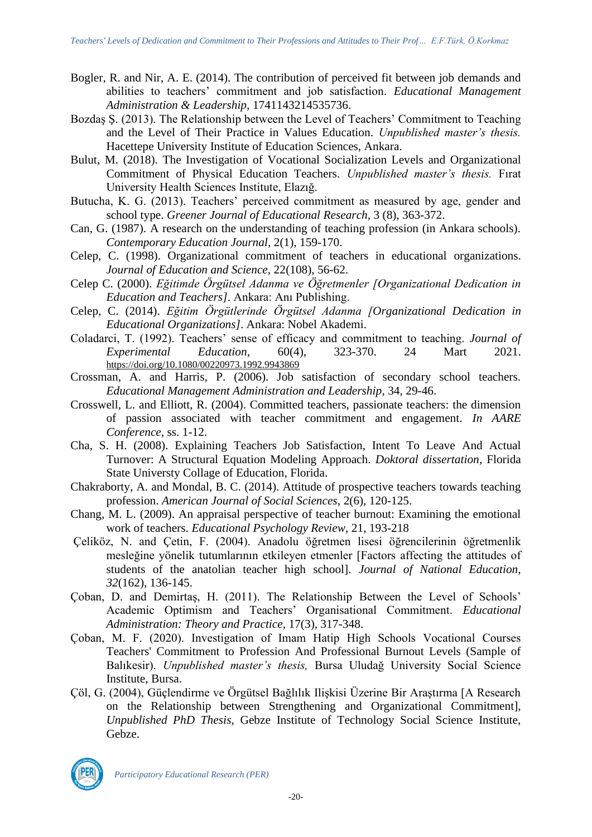- Bogler, R. and Nir, A. E. (2014). The contribution of perceived fit between job demands and abilities to teachers' commitment and job satisfaction. *Educational Management Administration & Leadership,* 1741143214535736.
- Bozdaş Ş. (2013). The Relationship between the Level of Teachers' Commitment to Teaching and the Level of Their Practice in Values Education. *Unpublished master's thesis.* Hacettepe University Institute of Education Sciences, Ankara.
- Bulut, M. (2018). The Investigation of Vocational Socialization Levels and Organizational Commitment of Physical Education Teachers. *Unpublished master's thesis.* Fırat University Health Sciences Institute, Elazığ.
- Butucha, K. G. (2013). Teachers' perceived commitment as measured by age, gender and school type. *Greener Journal of Educational Research,* 3 (8), 363-372.
- Can, G. (1987). A research on the understanding of teaching profession (in Ankara schools). *Contemporary Education Journal,* 2(1), 159-170.
- Celep, C. (1998). Organizational commitment of teachers in educational organizations. *Journal of Education and Science,* 22(108), 56-62.
- Celep C. (2000). *Eğitimde Örgütsel Adanma ve Öğretmenler [Organizational Dedication in Education and Teachers]*. Ankara: Anı Publishing.
- Celep, C. (2014). *Eğitim Örgütlerinde Örgütsel Adanma [Organizational Dedication in Educational Organizations]*. Ankara: Nobel Akademi.
- Coladarci, T. (1992). Teachers' sense of efficacy and commitment to teaching. *Journal of Experimental Education,* 60(4), 323-370. 24 Mart 2021. <https://doi.org/10.1080/00220973.1992.9943869>
- Crossman, A. and Harris, P. (2006). Job satisfaction of secondary school teachers. *Educational Management Administration and Leadership*, 34, 29-46.
- Crosswell, L. and Elliott, R. (2004). Committed teachers, passionate teachers: the dimension of passion associated with teacher commitment and engagement. *In AARE Conference*, ss. 1-12.
- Cha, S. H. (2008). Explaining Teachers Job Satisfaction, Intent To Leave And Actual Turnover: A Structural Equation Modeling Approach. *Doktoral dissertation*, Florida State Universty Collage of Education, Florida.
- Chakraborty, A. and Mondal, B. C. (2014). Attitude of prospective teachers towards teaching profession. *American Journal of Social Sciences*, 2(6), 120-125.
- Chang, M. L. (2009). An appraisal perspective of teacher burnout: Examining the emotional work of teachers. *Educational Psychology Review*, 21, 193-218
- Çeliköz, N. and Çetin, F. (2004). Anadolu öğretmen lisesi öğrencilerinin öğretmenlik mesleğine yönelik tutumlarının etkileyen etmenler [Factors affecting the attitudes of students of the anatolian teacher high school]. *Journal of National Education, 32*(162), 136-145.
- Çoban, D. and Demirtaş, H. (2011). The Relationship Between the Level of Schools' Academic Optimism and Teachers' Organisational Commitment. *Educational Administration: Theory and Practice,* 17(3), 317-348.
- Çoban, M. F. (2020). Investigation of Imam Hatip High Schools Vocational Courses Teachers' Commitment to Profession And Professional Burnout Levels (Sample of Balıkesir). *Unpublished master's thesis,* Bursa Uludağ University Social Science Institute, Bursa.
- Çöl, G. (2004), Güçlendirme ve Örgütsel Bağlılık Ilişkisi Üzerine Bir Araştırma [A Research on the Relationship between Strengthening and Organizational Commitment], *Unpublished PhD Thesis,* Gebze Institute of Technology Social Science Institute, Gebze.

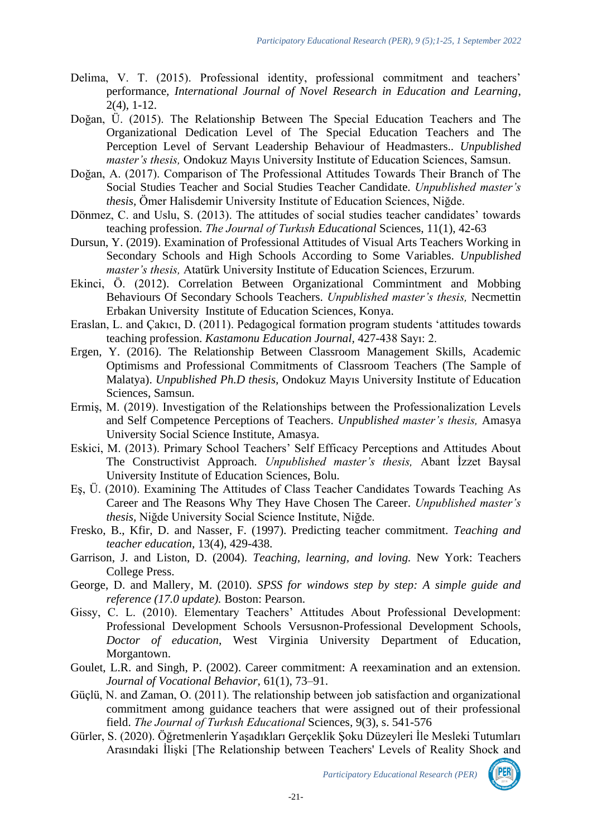- Delima, V. T. (2015). Professional identity, professional commitment and teachers' performance*, International Journal of Novel Research in Education and Learning*, 2(4), 1-12.
- Doğan, Ü. (2015). The Relationship Between The Special Education Teachers and The Organizational Dedication Level of The Special Education Teachers and The Perception Level of Servant Leadership Behaviour of Headmasters.. *Unpublished master's thesis,* Ondokuz Mayıs University Institute of Education Sciences, Samsun.
- Doğan, A. (2017). Comparison of The Professional Attitudes Towards Their Branch of The Social Studies Teacher and Social Studies Teacher Candidate. *Unpublished master's thesis,* Ömer Halisdemir University Institute of Education Sciences, Niğde.
- Dönmez, C. and Uslu, S. (2013). The attitudes of social studies teacher candidates' towards teaching profession. *The Journal of Turkısh Educational* Sciences, 11(1), 42-63
- Dursun, Y. (2019). Examination of Professional Attitudes of Visual Arts Teachers Working in Secondary Schools and High Schools According to Some Variables. *Unpublished master's thesis,* Atatürk University Institute of Education Sciences, Erzurum.
- Ekinci, Ö. (2012). Correlation Between Organizational Commintment and Mobbing Behaviours Of Secondary Schools Teachers. *Unpublished master's thesis,* Necmettin Erbakan University Institute of Education Sciences, Konya.
- Eraslan, L. and Çakıcı, D. (2011). Pedagogical formation program students 'attitudes towards teaching profession. *Kastamonu Education Journal,* 427-438 Sayı: 2.
- Ergen, Y. (2016). The Relationship Between Classroom Management Skills, Academic Optimisms and Professional Commitments of Classroom Teachers (The Sample of Malatya). *Unpublished Ph.D thesis,* Ondokuz Mayıs University Institute of Education Sciences, Samsun.
- Ermiş, M. (2019). Investigation of the Relationships between the Professionalization Levels and Self Competence Perceptions of Teachers. *Unpublished master's thesis,* Amasya University Social Science Institute, Amasya.
- Eskici, M. (2013). Primary School Teachers' Self Efficacy Perceptions and Attitudes About The Constructivist Approach. *Unpublished master's thesis,* Abant İzzet Baysal University Institute of Education Sciences, Bolu.
- Eş, Ü. (2010). Examining The Attitudes of Class Teacher Candidates Towards Teaching As Career and The Reasons Why They Have Chosen The Career. *Unpublished master's thesis,* Niğde University Social Science Institute, Niğde.
- Fresko, B., Kfir, D. and Nasser, F. (1997). Predicting teacher commitment. *Teaching and teacher education,* 13(4), 429-438.
- Garrison, J. and Liston, D. (2004). *Teaching, learning, and loving.* New York: Teachers College Press.
- George, D. and Mallery, M. (2010). *SPSS for windows step by step: A simple guide and reference (17.0 update).* Boston: Pearson.
- Gissy, C. L. (2010). Elementary Teachers' Attitudes About Professional Development: Professional Development Schools Versusnon-Professional Development Schools, *Doctor of education*, West Virginia University Department of Education, Morgantown.
- Goulet, L.R. and Singh, P. (2002). Career commitment: A reexamination and an extension. *Journal of Vocational Behavior,* 61(1), 73–91.
- Güçlü, N. and Zaman, O. (2011). The relationship between job satisfaction and organizational commitment among guidance teachers that were assigned out of their professional field. *The Journal of Turkısh Educational* Sciences*,* 9(3), s. 541-576
- Gürler, S. (2020). Öğretmenlerin Yaşadıkları Gerçeklik Şoku Düzeyleri İle Mesleki Tutumları Arasındaki İlişki [The Relationship between Teachers' Levels of Reality Shock and

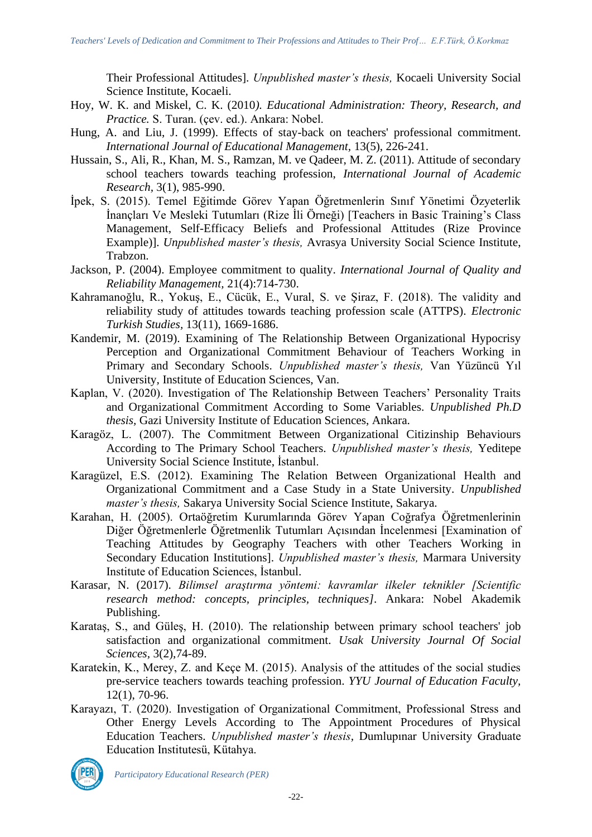Their Professional Attitudes]. *Unpublished master's thesis,* Kocaeli University Social Science Institute, Kocaeli.

- Hoy, W. K. and Miskel, C. K. (2010*). Educational Administration: Theory, Research, and Practice.* S. Turan. (çev. ed.). Ankara: Nobel.
- Hung, A. and Liu, J. (1999). Effects of stay-back on teachers' professional commitment. *International Journal of Educational Management,* 13(5), 226-241.
- Hussain, S., Ali, R., Khan, M. S., Ramzan, M. ve Qadeer, M. Z. (2011). Attitude of secondary school teachers towards teaching profession, *International Journal of Academic Research,* 3(1), 985-990.
- İpek, S. (2015). Temel Eğitimde Görev Yapan Öğretmenlerin Sınıf Yönetimi Özyeterlik İnançları Ve Mesleki Tutumları (Rize İli Örneği) [Teachers in Basic Training's Class Management, Self-Efficacy Beliefs and Professional Attitudes (Rize Province Example)]. *Unpublished master's thesis,* Avrasya University Social Science Institute, Trabzon.
- Jackson, P. (2004). Employee commitment to quality. *International Journal of Quality and Reliability Management,* 21(4):714-730.
- Kahramanoğlu, R., Yokuş, E., Cücük, E., Vural, S. ve Şiraz, F. (2018). The validity and reliability study of attitudes towards teaching profession scale (ATTPS). *Electronic Turkish Studies,* 13(11), 1669-1686.
- Kandemir, M. (2019). Examining of The Relationship Between Organizational Hypocrisy Perception and Organizational Commitment Behaviour of Teachers Working in Primary and Secondary Schools. *Unpublished master's thesis,* Van Yüzüncü Yıl University*,* Institute of Education Sciences, Van.
- Kaplan, V. (2020). Investigation of The Relationship Between Teachers' Personality Traits and Organizational Commitment According to Some Variables. *Unpublished Ph.D thesis,* Gazi University Institute of Education Sciences, Ankara.
- Karagöz, L. (2007). The Commitment Between Organizational Citizinship Behaviours According to The Primary School Teachers. *Unpublished master's thesis,* Yeditepe University Social Science Institute, İstanbul.
- Karagüzel, E.S. (2012). Examining The Relation Between Organizational Health and Organizational Commitment and a Case Study in a State University. *Unpublished master's thesis,* Sakarya University Social Science Institute, Sakarya.
- Karahan, H. (2005). Ortaöğretim Kurumlarında Görev Yapan Coğrafya Öğretmenlerinin Diğer Öğretmenlerle Öğretmenlik Tutumları Açısından İncelenmesi [Examination of Teaching Attitudes by Geography Teachers with other Teachers Working in Secondary Education Institutions]. *Unpublished master's thesis,* Marmara University Institute of Education Sciences, İstanbul.
- Karasar, N. (2017). *Bilimsel araştırma yöntemi: kavramlar ilkeler teknikler [Scientific research method: concepts, principles, techniques]*. Ankara: Nobel Akademik Publishing.
- Karataş, S., and Güleş, H. (2010). The relationship between primary school teachers' job satisfaction and organizational commitment. *Usak University Journal Of Social Sciences,* 3(2),74-89.
- Karatekin, K., Merey, Z. and Keçe M. (2015). Analysis of the attitudes of the social studies pre-service teachers towards teaching profession. *YYU Journal of Education Faculty,* 12(1), 70-96.
- Karayazı, T. (2020). Investigation of Organizational Commitment, Professional Stress and Other Energy Levels According to The Appointment Procedures of Physical Education Teachers. *Unpublished master's thesis,* Dumlupınar University Graduate Education Institutesü, Kütahya.

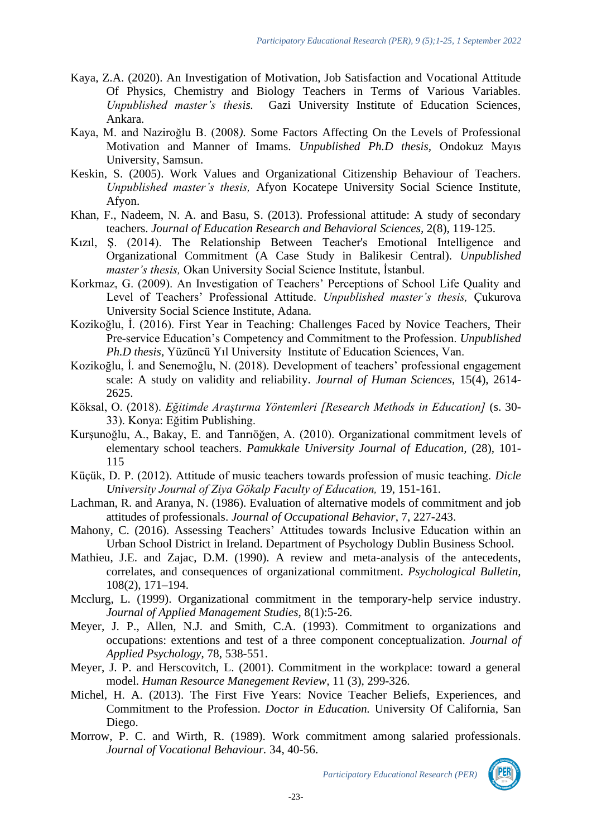- Kaya, Z.A. (2020). An Investigation of Motivation, Job Satisfaction and Vocational Attitude Of Physics, Chemistry and Biology Teachers in Terms of Various Variables.<br>
Unpublished master's thesis. Gazi University Institute of Education Sciences, Gazi University Institute of Education Sciences, Ankara.
- Kaya, M. and Naziroğlu B. (2008*).* Some Factors Affecting On the Levels of Professional Motivation and Manner of Imams. *Unpublished Ph.D thesis,* Ondokuz Mayıs University, Samsun.
- Keskin, S. (2005). Work Values and Organizational Citizenship Behaviour of Teachers. *Unpublished master's thesis,* Afyon Kocatepe University Social Science Institute, Afyon.
- Khan, F., Nadeem, N. A. and Basu, S. (2013). Professional attitude: A study of secondary teachers. *Journal of Education Research and Behavioral Sciences,* 2(8), 119-125.
- Kızıl, Ş. (2014). The Relationship Between Teacher's Emotional Intelligence and Organizational Commitment (A Case Study in Balikesir Central). *Unpublished master's thesis,* Okan University Social Science Institute, İstanbul.
- Korkmaz, G. (2009). An Investigation of Teachers' Perceptions of School Life Quality and Level of Teachers' Professional Attitude. *Unpublished master's thesis,* Çukurova University Social Science Institute, Adana.
- Kozikoğlu, İ. (2016). First Year in Teaching: Challenges Faced by Novice Teachers, Their Pre-service Education's Competency and Commitment to the Profession. *Unpublished Ph.D thesis,* Yüzüncü Yıl University Institute of Education Sciences, Van.
- Kozikoğlu, İ. and Senemoğlu, N. (2018). Development of teachers' professional engagement scale: A study on validity and reliability. *Journal of Human Sciences,* 15(4), 2614- 2625.
- Köksal, O. (2018). *Eğitimde Araştırma Yöntemleri [Research Methods in Education]* (s. 30- 33). Konya: Eğitim Publishing.
- Kurşunoğlu, A., Bakay, E. and Tanrıöğen, A. (2010). Organizational commitment levels of elementary school teachers. *Pamukkale University Journal of Education,* (28), 101- 115
- Küçük, D. P. (2012). Attitude of music teachers towards profession of music teaching. *Dicle University Journal of Ziya Gökalp Faculty of Education,* 19, 151-161.
- Lachman, R. and Aranya, N. (1986). Evaluation of alternative models of commitment and job attitudes of professionals. *Journal of Occupational Behavior*, 7, 227-243.
- Mahony, C. (2016). Assessing Teachers' Attitudes towards Inclusive Education within an Urban School District in Ireland. Department of Psychology Dublin Business School.
- Mathieu, J.E. and Zajac, D.M. (1990). A review and meta-analysis of the antecedents, correlates, and consequences of organizational commitment. *Psychological Bulletin,* 108(2), 171–194.
- Mcclurg, L. (1999). Organizational commitment in the temporary-help service industry. *Journal of Applied Management Studies,* 8(1):5-26.
- Meyer, J. P., Allen, N.J. and Smith, C.A. (1993). Commitment to organizations and occupations: extentions and test of a three component conceptualization. *Journal of Applied Psychology*, 78, 538-551.
- Meyer, J. P. and Herscovitch, L. (2001). Commitment in the workplace: toward a general model. *Human Resource Manegement Review,* 11 (3), 299-326.
- Michel, H. A. (2013). The First Five Years: Novice Teacher Beliefs, Experiences, and Commitment to the Profession. *Doctor in Education.* University Of California, San Diego.
- Morrow, P. C. and Wirth, R. (1989). Work commitment among salaried professionals. *Journal of Vocational Behaviour.* 34, 40-56.

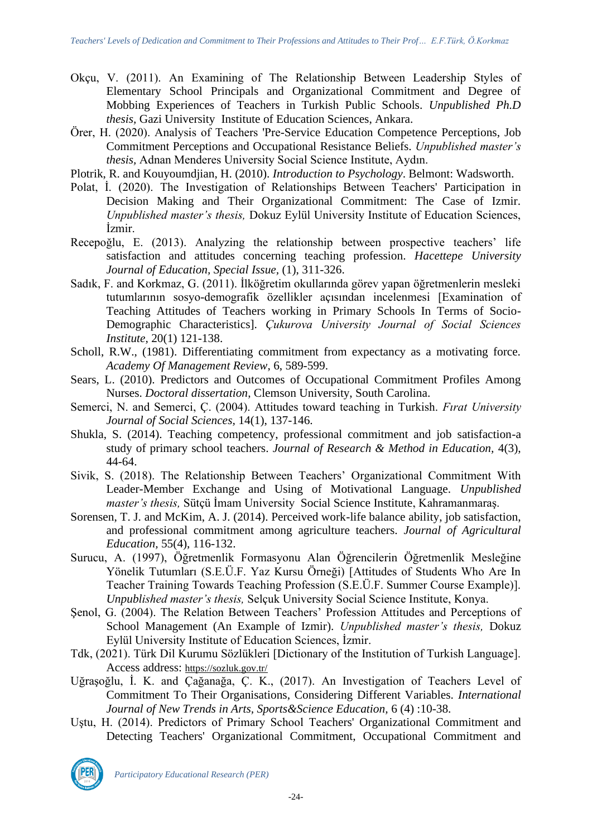- Okçu, V. (2011). An Examining of The Relationship Between Leadership Styles of Elementary School Principals and Organizational Commitment and Degree of Mobbing Experiences of Teachers in Turkish Public Schools. *Unpublished Ph.D thesis,* Gazi University Institute of Education Sciences, Ankara.
- Örer, H. (2020). Analysis of Teachers 'Pre-Service Education Competence Perceptions, Job Commitment Perceptions and Occupational Resistance Beliefs. *Unpublished master's thesis,* Adnan Menderes University Social Science Institute, Aydın.
- Plotrik, R. and Kouyoumdjian, H. (2010). *Introduction to Psychology*. Belmont: Wadsworth.
- Polat, İ. (2020). The Investigation of Relationships Between Teachers' Participation in Decision Making and Their Organizational Commitment: The Case of Izmir. *Unpublished master's thesis,* Dokuz Eylül University Institute of Education Sciences, İzmir.
- Recepoğlu, E. (2013). Analyzing the relationship between prospective teachers' life satisfaction and attitudes concerning teaching profession. *Hacettepe University Journal of Education, Special Issue,* (1), 311-326.
- Sadık, F. and Korkmaz, G. (2011). İlköğretim okullarında görev yapan öğretmenlerin mesleki tutumlarının sosyo-demografik özellikler açısından incelenmesi [Examination of Teaching Attitudes of Teachers working in Primary Schools In Terms of Socio-Demographic Characteristics]. *Çukurova University Journal of Social Sciences Institute,* 20(1) 121-138.
- Scholl, R.W., (1981). Differentiating commitment from expectancy as a motivating force. *Academy Of Management Review*, 6, 589-599.
- Sears, L. (2010). Predictors and Outcomes of Occupational Commitment Profiles Among Nurses. *Doctoral dissertation*, Clemson University, South Carolina.
- Semerci, N. and Semerci, Ç. (2004). Attitudes toward teaching in Turkish. *Fırat University Journal of Social Sciences,* 14(1), 137-146.
- Shukla, S. (2014). Teaching competency, professional commitment and job satisfaction-a study of primary school teachers. *Journal of Research & Method in Education,* 4(3), 44-64.
- Sivik, S. (2018). The Relationship Between Teachers' Organizational Commitment With Leader-Member Exchange and Using of Motivational Language. *Unpublished master's thesis,* Sütçü İmam University Social Science Institute, Kahramanmaraş.
- Sorensen, T. J. and McKim, A. J. (2014). Perceived work-life balance ability, job satisfaction, and professional commitment among agriculture teachers. *Journal of Agricultural Education,* 55(4), 116-132.
- Surucu, A. (1997), Öğretmenlik Formasyonu Alan Öğrencilerin Öğretmenlik Mesleğine Yönelik Tutumları (S.E.Ü.F. Yaz Kursu Örneği) [Attitudes of Students Who Are In Teacher Training Towards Teaching Profession (S.E.Ü.F. Summer Course Example)]. *Unpublished master's thesis,* Selçuk University Social Science Institute, Konya.
- Şenol, G. (2004). The Relation Between Teachers' Profession Attitudes and Perceptions of School Management (An Example of Izmir). *Unpublished master's thesis,* Dokuz Eylül University Institute of Education Sciences, İzmir.
- Tdk, (2021). Türk Dil Kurumu Sözlükleri [Dictionary of the Institution of Turkish Language]. Access address: <https://sozluk.gov.tr/>
- Uğraşoğlu, İ. K. and Çağanağa, Ç. K., (2017). An Investigation of Teachers Level of Commitment To Their Organisations, Considering Different Variables. *International Journal of New Trends in Arts, Sports&Science Education,* 6 (4) :10-38.
- Uştu, H. (2014). Predictors of Primary School Teachers' Organizational Commitment and Detecting Teachers' Organizational Commitment, Occupational Commitment and